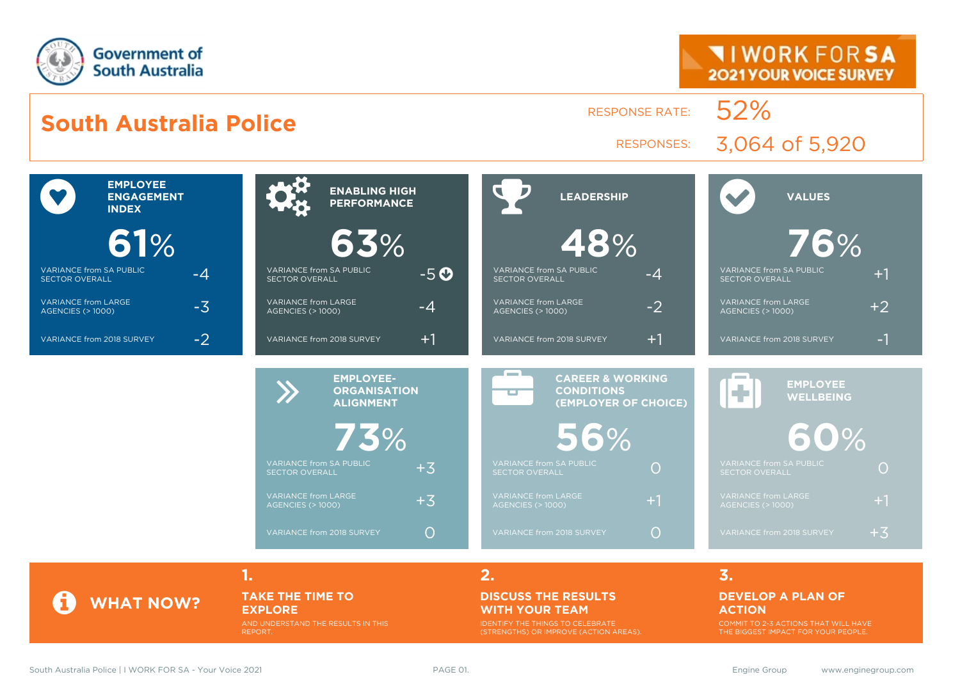

#### **TAKE THE TIME TO EXPLORE**

AND UNDERSTAND THE RESULTS IN THIS REPORT.

#### **DISCUSS THE RESULTS WITH YOUR TEAM**

IDENTIFY THE THINGS TO CELEBRATE (STRENGTHS) OR IMPROVE (ACTION AREAS).

#### **DEVELOP A PLAN OF ACTION**

COMMIT TO 2-3 ACTIONS THAT WILL HAVE THE BIGGEST IMPACT FOR YOUR PEOPLE.

**WHAT NOW?**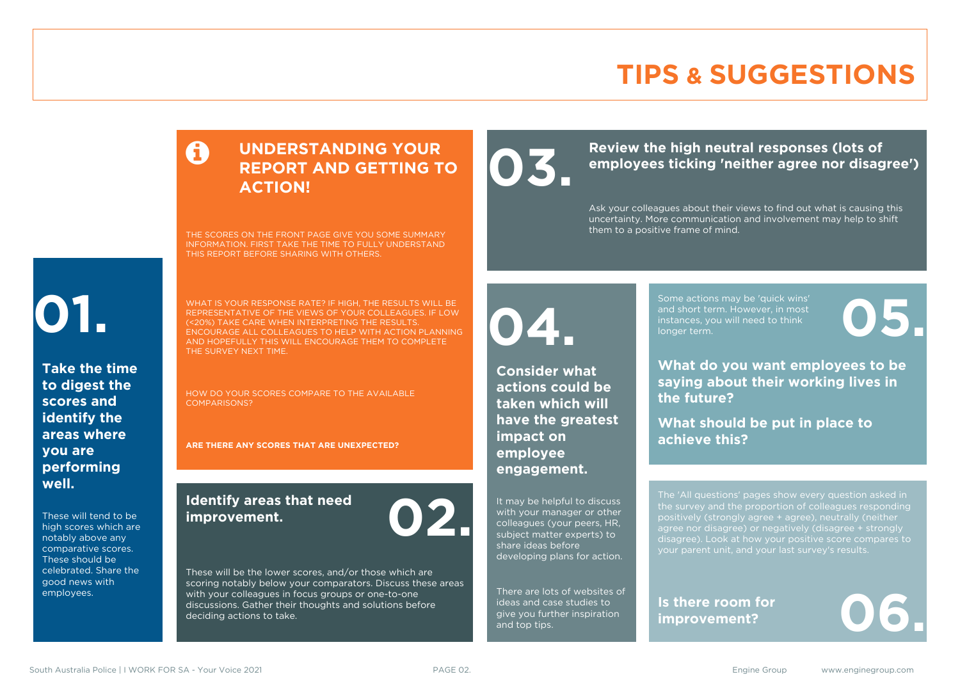### **TIPS & SUGGESTIONS**

### **UNDERSTANDING YOUR REPORT AND GETTING TO ACTION!**

THE SCORES ON THE FRONT PAGE GIVE YOU SOME SUMMARY INFORMATION. FIRST TAKE THE TIME TO FULLY UNDERSTAND THIS REPORT BEFORE SHARING WITH OTHERS.

# **01.**

**Take the time to digest the scores and identify the areas where you are performing well.**

These will tend to be high scores which are notably above any comparative scores. These should be celebrated. Share the good news with employees.

WHAT IS YOUR RESPONSE RATE? IF HIGH, THE RESULTS WILL BE REPRESENTATIVE OF THE VIEWS OF YOUR COLLEAGUES. IF LOW (<20%) TAKE CARE WHEN INTERPRETING THE RESULTS. ENCOURAGE ALL COLLEAGUES TO HELP WITH ACTION PLANNING AND HOPEFULLY THIS WILL ENCOURAGE THEM TO COMPLETE THE SURVEY NEXT TIME.

HOW DO YOUR SCORES COMPARE TO THE AVAILABLE COMPARISONS?

**ARE THERE ANY SCORES THAT ARE UNEXPECTED?**

#### **Identify areas that need improvement. 02.**

These will be the lower scores, and/or those which are scoring notably below your comparators. Discuss these areas with your colleagues in focus groups or one-to-one discussions. Gather their thoughts and solutions before deciding actions to take.

**04.**

**impact on employee engagement.**

**Consider what actions could be taken which will have the greatest** 

It may be helpful to discuss with your manager or other colleagues (your peers, HR, subject matter experts) to share ideas before

ideas and case studies to give you further inspiration

and top tips.

Review the high neutral responses (lots of employees ticking 'neither agree nor disag **employees ticking 'neither agree nor disagree')**

> Ask your colleagues about their views to find out what is causing this uncertainty. More communication and involvement may help to shift them to a positive frame of mind.

> > Some actions may be 'quick wins' and short term. However, in most instances, you will need to think Some actions may be 'quick wins'<br>and short term. However, in most<br>instances, you will need to think<br>longer term.

**What do you want employees to be saying about their working lives in the future?**

**What should be put in place to achieve this?**

The 'All questions' pages show every question asked in positively (strongly agree + agree), neutrally (neither agree nor disagree) or negatively (disagree + strongly disagree). Look at how your positive score compares to your parent unit, and your last survey's results.

**Is there room for**  Is there room for<br>improvement?

developing plans for action. There are lots of websites of

South Australia Police | I WORK FOR SA - Your Voice 2021 **PAGE 02.** PAGE 02. Engine Group www.enginegroup.com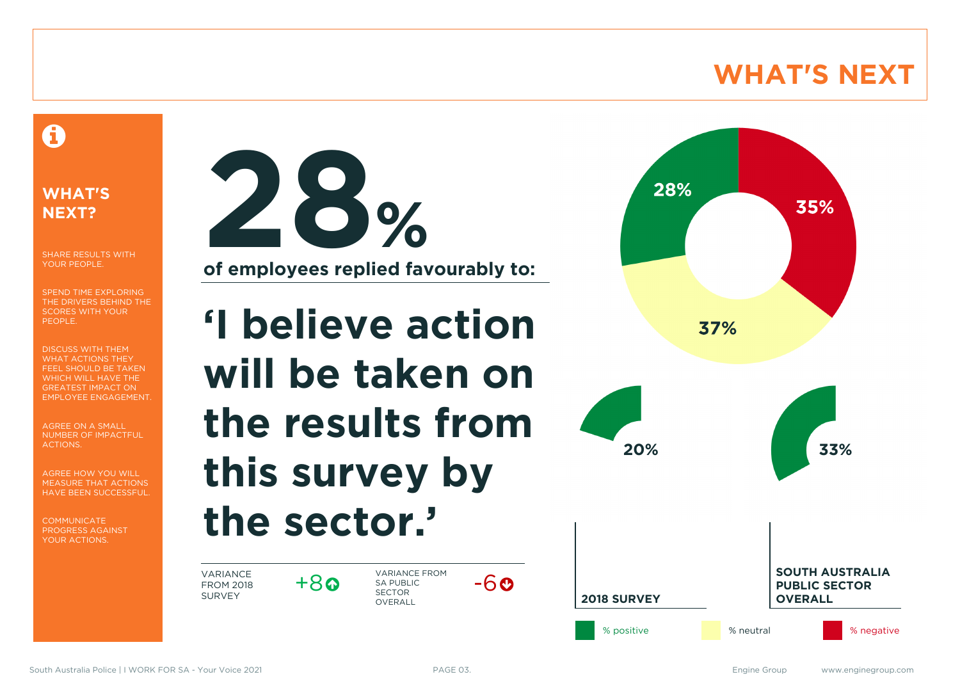### **WHAT'S NEXT**

### A

#### **WHAT'S NEXT?**

SHARE RESULTS WITH YOUR PEOPLE.

SPEND TIME EXPLORING THE DRIVERS BEHIND THE SCORES WITH YOUR PEOPLE.

DISCUSS WITH THEM WHAT ACTIONS THEY FEEL SHOULD BE TAKEN WHICH WILL HAVE THE GREATEST IMPACT ON EMPLOYEE ENGAGEMENT.

AGREE ON A SMALL NUMBER OF IMPACTFUL ACTIONS.

AGREE HOW YOU WILL MEASURE THAT ACTIONS HAVE BEEN SUCCESSFUL.

**COMMUNICATE** PROGRESS AGAINST YOUR ACTIONS.



**'I believe action will be taken on the results from this survey by the sector.'**

VARIANCE FROM 2018 SURVEY

 $+8$ 

VARIANCE FROM SA PUBLIC SECTOR **OVERALL** 



 $-60$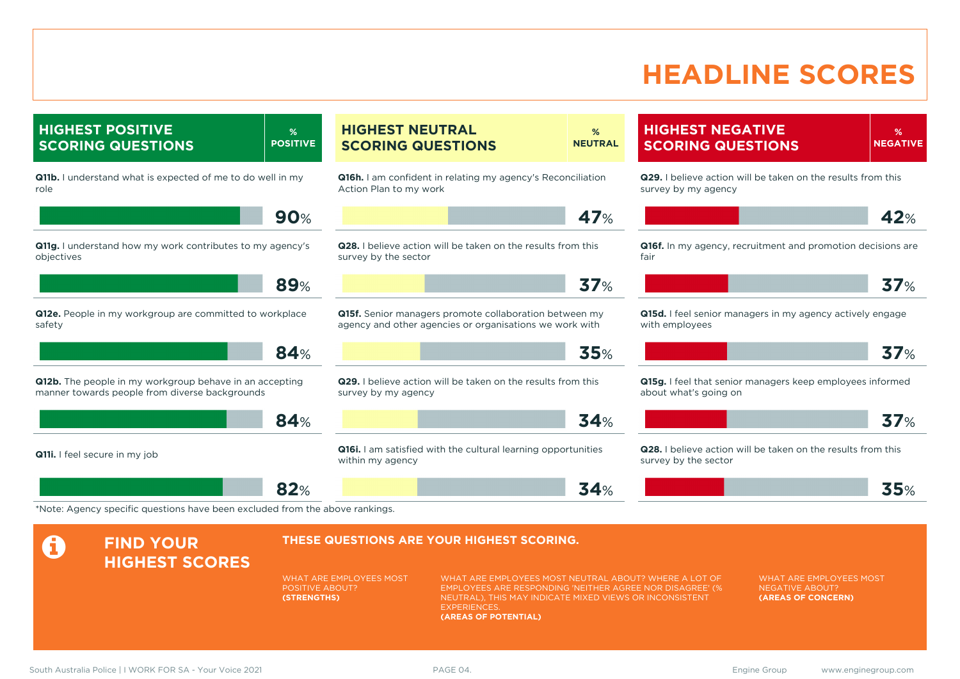### **HEADLINE SCORES**

**HIGHEST POSITIVE SCORING QUESTIONS % POSITIVE Q11b.** I understand what is expected of me to do well in my role **90**% **Q11g.** I understand how my work contributes to my agency's objectives **89**% **Q12e.** People in my workgroup are committed to workplace safety **84**% **Q12b.** The people in my workgroup behave in an accepting manner towards people from diverse backgrounds **84**% **Q11i.** I feel secure in my job **82**% **HIGHEST NEUTRAL SCORING QUESTIONS % NEUTRAL Q16h.** I am confident in relating my agency's Reconciliation Action Plan to my work **47**% **Q28.** I believe action will be taken on the results from this survey by the sector **37**% **Q15f.** Senior managers promote collaboration between my agency and other agencies or organisations we work with **35**% **Q29.** I believe action will be taken on the results from this survey by my agency **34**% **Q16i.** I am satisfied with the cultural learning opportunities within my agency **34**% **HIGHEST NEGATIVE SCORING QUESTIONS % NEGATIVE Q29.** I believe action will be taken on the results from this survey by my agency **42**% **Q16f.** In my agency, recruitment and promotion decisions are fair **37**% **Q15d.** I feel senior managers in my agency actively engage with employees **37**% **Q15g.** I feel that senior managers keep employees informed about what's going on **37**% **Q28.** I believe action will be taken on the results from this survey by the sector **35**% \*Note: Agency specific questions have been excluded from the above rankings. **A** FIND YOUR **HIGHEST SCORES THESE QUESTIONS ARE YOUR HIGHEST SCORING.** WHAT ARE EMPLOYEES MOST POSITIVE ABOUT? **(STRENGTHS)** WHAT ARE EMPLOYEES MOST NEUTRAL ABOUT? WHERE A LOT OF EMPLOYEES ARE RESPONDING 'NEITHER AGREE NOR DISAGREE' (% NEUTRAL), THIS MAY INDICATE MIXED VIEWS OR INCONSISTENT WHAT ARE EMPLOYEES MOST NEGATIVE ABOUT? **(AREAS OF CONCERN)**

**EXPERIENCES** 

**(AREAS OF POTENTIAL)**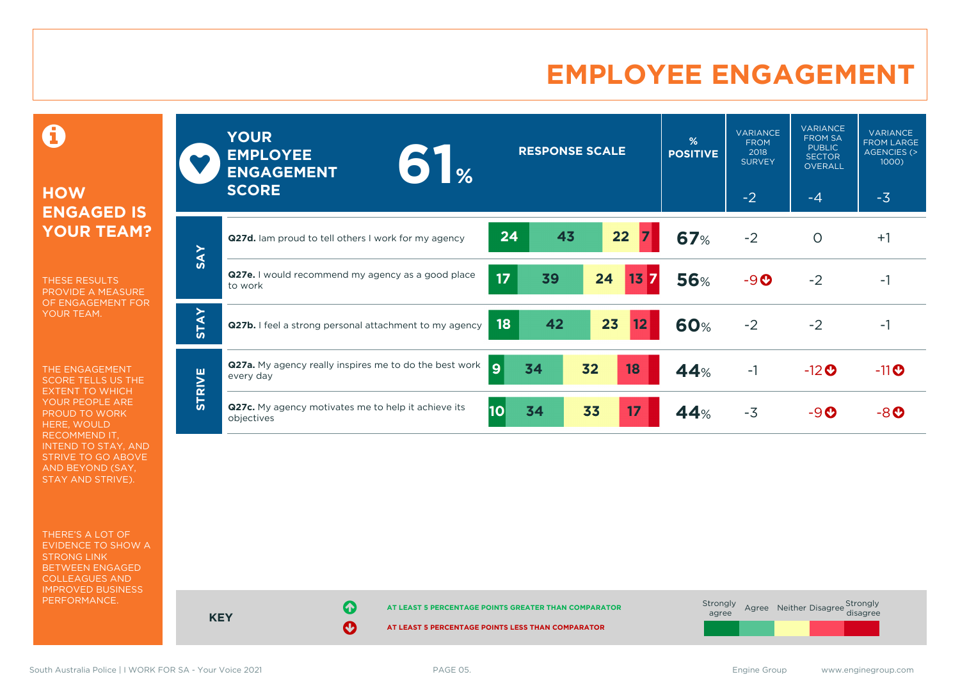### **EMPLOYEE ENGAGEMENT**

0

#### **HOW ENGAGED IS YOUR TEAM?**

THESE RESULTS PROVIDE A MEASURE OF ENGAGEMENT FOR YOUR TEAM.

THE ENGAGEMENT SCORE TELLS US THE EXTENT TO WHICH YOUR PEOPLE ARE PROUD TO WORK HERE, WOULD RECOMMEND IT, INTEND TO STAY, AND STRIVE TO GO ABOVE AND BEYOND (SAY, STAY AND STRIVE).

THERE'S A LOT OF EVIDENCE TO SHOW A STRONG LINK BETWEEN ENGAGED COLLEAGUES AND IMPROVED BUSINESS PERFORMANCE.

|               | <b>YOUR</b><br><b>EMPLOYEE</b><br>$\begin{array}{ c c }\hline \textbf{0} & \textbf{0} \end{array}$<br><b>ENGAGEMENT</b><br><b>SCORE</b> | <b>RESPONSE SCALE</b>                          | %<br><b>POSITIVE</b> | <b>VARIANCE</b><br><b>FROM</b><br>2018<br><b>SURVEY</b><br>$-2$ | <b>VARIANCE</b><br><b>FROM SA</b><br><b>PUBLIC</b><br><b>SECTOR</b><br><b>OVERALL</b><br>$-4$ | <b>VARIANCE</b><br><b>FROM LARGE</b><br>AGENCIES (><br>1000)<br>$-3$ |
|---------------|-----------------------------------------------------------------------------------------------------------------------------------------|------------------------------------------------|----------------------|-----------------------------------------------------------------|-----------------------------------------------------------------------------------------------|----------------------------------------------------------------------|
|               | Q27d. Iam proud to tell others I work for my agency                                                                                     | 43<br>22<br>24                                 | <b>67%</b>           | $-2$                                                            | $\circ$                                                                                       | $+1$                                                                 |
| <b>SAY</b>    | Q27e. I would recommend my agency as a good place<br>to work                                                                            | 17 <sub>2</sub><br>39<br>24<br>13 <sub>7</sub> | <b>56%</b>           | $-9O$                                                           | $-2$                                                                                          | $-1$                                                                 |
| <b>STAY</b>   | Q27b. I feel a strong personal attachment to my agency                                                                                  | 23<br>42<br>12<br>18                           | 60%                  | $-2$                                                            | $-2$                                                                                          | $-1$                                                                 |
|               | <b>Q27a.</b> My agency really inspires me to do the best work<br>every day                                                              | <u>g</u><br>34<br>32<br>18                     | 44%                  | $-1$                                                            | $-12$ <sup>O</sup>                                                                            | $-11$ <sup>O</sup>                                                   |
| <b>STRIVE</b> | Q27c. My agency motivates me to help it achieve its<br>objectives                                                                       | 10<br>34<br>33<br>17                           | 44%                  | $-3$                                                            | $-9$ $o$                                                                                      | -80                                                                  |

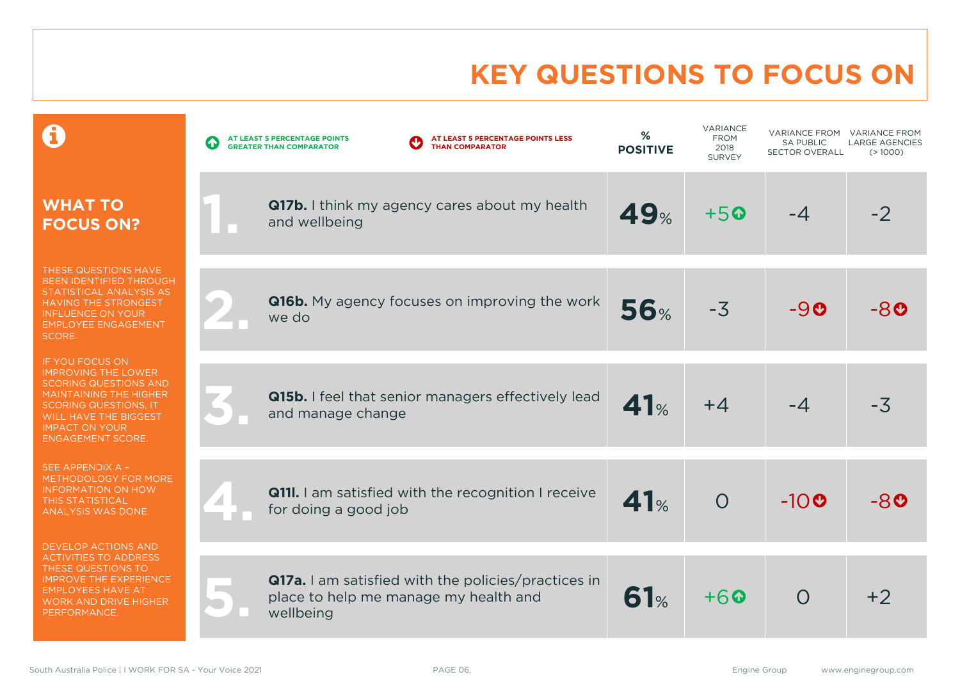### **KEY QUESTIONS TO FOCUS ON**

|                                                                                                                                                                                                                                     | AT LEAST 5 PERCENTAGE POINTS LESS<br>AT LEAST 5 PERCENTAGE POINTS<br><b>GREATER THAN COMPARATOR</b><br><b>THAN COMPARATOR</b> | %<br><b>POSITIVE</b> | <b>VARIANCE</b><br><b>FROM</b><br>2018<br><b>SURVEY</b> | <b>SA PUBLIC</b><br><b>SECTOR OVERALL</b> | VARIANCE FROM VARIANCE FROM<br><b>LARGE AGENCIES</b><br>(>1000) |
|-------------------------------------------------------------------------------------------------------------------------------------------------------------------------------------------------------------------------------------|-------------------------------------------------------------------------------------------------------------------------------|----------------------|---------------------------------------------------------|-------------------------------------------|-----------------------------------------------------------------|
| <b>WHAT TO</b><br><b>FOCUS ON?</b>                                                                                                                                                                                                  | <b>Q17b.</b> I think my agency cares about my health<br>and wellbeing                                                         | <b>49%</b>           | $+50$                                                   | $-4$                                      | $-2$                                                            |
| THESE QUESTIONS HAVE<br>BEEN IDENTIFIED THROUGH<br>STATISTICAL ANALYSIS AS<br><b>HAVING THE STRONGEST</b><br><b>INFLUENCE ON YOUR</b><br><b>EMPLOYEE ENGAGEMENT</b><br>SCORE.                                                       | <b>Q16b.</b> My agency focuses on improving the work<br>we do                                                                 | <b>56%</b>           | $-3$                                                    | $-9o$                                     | -80                                                             |
| IF YOU FOCUS ON<br><b>IMPROVING THE LOWER</b><br><b>SCORING QUESTIONS AND</b><br><b>MAINTAINING THE HIGHER</b><br><b>SCORING QUESTIONS, IT</b><br><b>WILL HAVE THE BIGGEST</b><br><b>IMPACT ON YOUR</b><br><b>ENGAGEMENT SCORE.</b> | Q15b. I feel that senior managers effectively lead<br>and manage change                                                       | 41%                  | $+4$                                                    | $-4$                                      | $-3\overline{5}$                                                |
| SEE APPENDIX A -<br>METHODOLOGY FOR MORE<br><b>INFORMATION ON HOW</b><br><b>THIS STATISTICAL</b><br>ANALYSIS WAS DONE.                                                                                                              | <b>Q111.</b> I am satisfied with the recognition I receive<br>for doing a good job                                            | 41%                  | $\overline{O}$                                          | $-10o$                                    | -80                                                             |
| <b>DEVELOP ACTIONS AND</b><br><b>ACTIVITIES TO ADDRESS</b><br>THESE QUESTIONS TO<br><b>IMPROVE THE EXPERIENCE</b><br><b>EMPLOYEES HAVE AT</b><br><b>WORK AND DRIVE HIGHER</b><br>PERFORMANCE.                                       | Q17a. I am satisfied with the policies/practices in<br>place to help me manage my health and<br>wellbeing                     | 61%                  | $+60$                                                   | $\Omega$                                  | $+2$                                                            |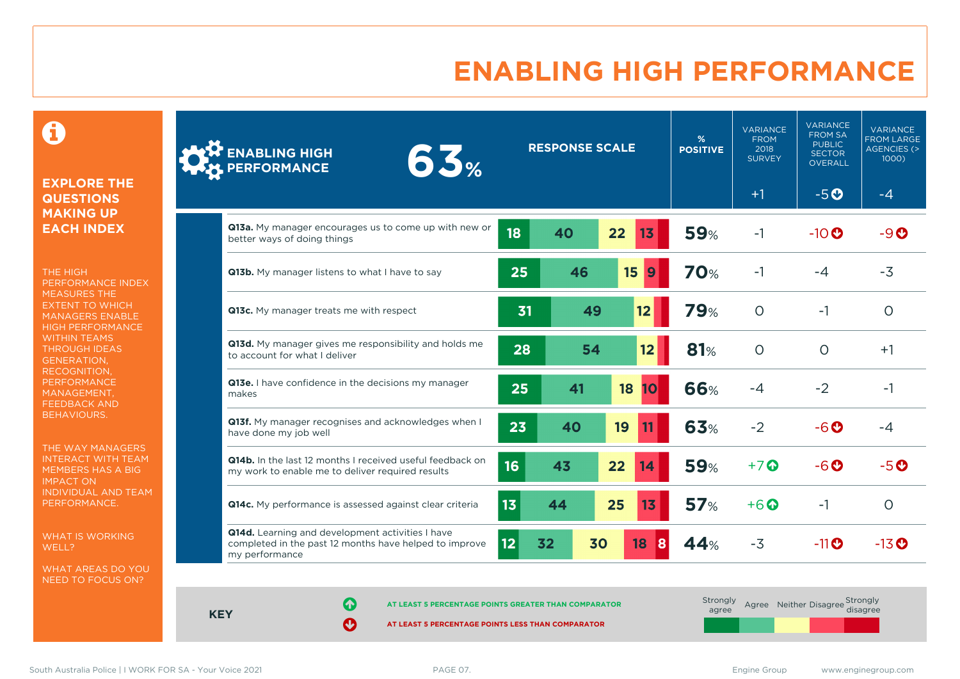### **ENABLING HIGH PERFORMANCE**

 $\mathbf \Theta$ 

#### **EXPLORE THE QUESTIONS MAKING UP EACH INDEX**

THE HIGH PERFORMANCE INDEX MEASURES THE EXTENT TO WHICH MANAGERS ENABLE HIGH PERFORMANCE WITHIN TEAMS THROUGH IDEAS GENERATION, RECOGNITION, **PERFORMANCE** MANAGEMENT, FEEDBACK AND BEHAVIOURS.

THE WAY MANAGERS INTERACT WITH TEAM MEMBERS HAS A BIG IMPACT ON INDIVIDUAL AND TEAM PERFORMANCE.

WHAT IS WORKING WELL?

WHAT AREAS DO YOU NEED TO FOCUS ON?

| <b>ENABLING HIGH</b><br>63%<br>PERFORMANCE                                                                                   |    | <b>RESPONSE SCALE</b> |    |                | %<br><b>POSITIVE</b> | <b>VARIANCE</b><br><b>FROM</b><br>2018<br><b>SURVEY</b> | <b>VARIANCE</b><br><b>FROM SA</b><br><b>PUBLIC</b><br><b>SECTOR</b><br><b>OVERALL</b> | <b>VARIANCE</b><br><b>FROM LARGE</b><br><b>AGENCIES (&gt;</b><br>1000) |
|------------------------------------------------------------------------------------------------------------------------------|----|-----------------------|----|----------------|----------------------|---------------------------------------------------------|---------------------------------------------------------------------------------------|------------------------------------------------------------------------|
|                                                                                                                              |    |                       |    |                |                      | $+1$                                                    | $-5o$                                                                                 | $-4$                                                                   |
| Q13a. My manager encourages us to come up with new or<br>better ways of doing things                                         | 18 | 40                    | 22 | 1 <sub>3</sub> | <b>59%</b>           | $-1$                                                    | $-10$ <sup>O</sup>                                                                    | $-9o$                                                                  |
| Q13b. My manager listens to what I have to say                                                                               | 25 | 46                    |    | 15<br>9        | <b>70%</b>           | $-1$                                                    | $-4$                                                                                  | $-3$                                                                   |
| Q13c. My manager treats me with respect                                                                                      | 31 |                       | 49 | 12             | <b>79%</b>           | $\circ$                                                 | $-1$                                                                                  | $\circ$                                                                |
| Q13d. My manager gives me responsibility and holds me<br>to account for what I deliver                                       | 28 |                       | 54 | 12             | 81%                  | $\circ$                                                 | $\circ$                                                                               | $+1$                                                                   |
| Q13e. I have confidence in the decisions my manager<br>makes                                                                 | 25 | 41                    |    | 18<br>10       | 66%                  | $-4$                                                    | $-2$                                                                                  | $-1$                                                                   |
| Q13f. My manager recognises and acknowledges when I<br>have done my job well                                                 | 23 | 40                    |    | 19             | 63%                  | $-2$                                                    | $-6o$                                                                                 | $-4$                                                                   |
| Q14b. In the last 12 months I received useful feedback on<br>my work to enable me to deliver required results                | 16 | 43                    | 22 | 14             | <b>59%</b>           | $+7$                                                    | $-6$ $\odot$                                                                          | $-5o$                                                                  |
| Q14c. My performance is assessed against clear criteria                                                                      | 13 | 44                    | 25 | 13             | 57%                  | $+6$ $\odot$                                            | $-1$                                                                                  | $\circ$                                                                |
| Q14d. Learning and development activities I have<br>completed in the past 12 months have helped to improve<br>my performance | 12 | 32                    | 30 | 18<br>8        | 44%                  | $-3$                                                    | $-11$ <sup>O</sup>                                                                    | $-13$ <sup>O</sup>                                                     |

**KEY**

**AT LEAST 5 PERCENTAGE POINTS GREATER THAN COMPARATOR** 

| Strongly<br>agree |  | Agree Neither Disagree Strongly<br>disagree |
|-------------------|--|---------------------------------------------|
|                   |  |                                             |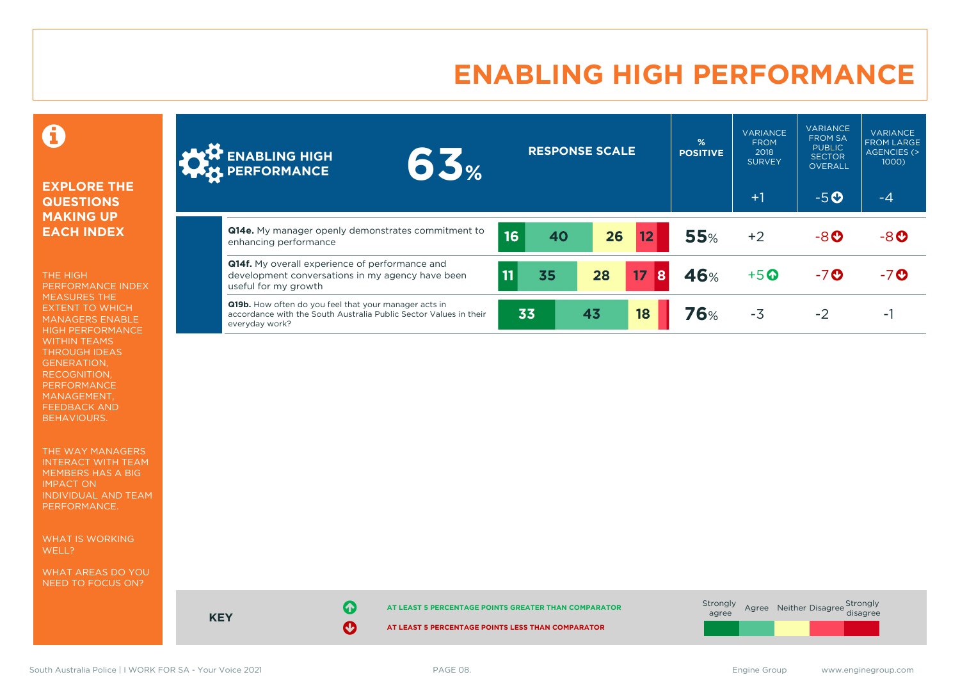### **ENABLING HIGH PERFORMANCE**



#### **EXPLORE THE QUESTIONS MAKING UP EACH INDEX**

THE HIGH PERFORMANCE INDEX MEASURES THE EXTENT TO WHICH MANAGERS ENABLE HIGH PERFORMANCE WITHIN TEAMS THROUGH IDEAS GENERATION, RECOGNITION, PERFORMANCE MANAGEMENT, FEEDBACK AND BEHAVIOURS.

THE WAY MANAGERS INTERACT WITH TEAM MEMBERS HAS A BIG IMPACT ON INDIVIDUAL AND TEAM PERFORMANCE.

WHAT IS WORKING WELL?

WHAT AREAS DO YOU NEED TO FOCUS ON?

| $-5O$<br>$+1$<br>-4<br><b>Q14e.</b> My manager openly demonstrates commitment to<br><b>55%</b><br>26<br>16<br>12<br>40<br>$-8o$<br>$+2$<br>$-8$ <sup>O</sup><br>enhancing performance<br><b>Q14f.</b> My overall experience of performance and<br>46%<br>17<br>28<br> 8 <br>35<br>$+5$ <sup><math>\odot</math></sup><br>11<br>$-7o$<br>$-7o$<br>development conversations in my agency have been<br>useful for my growth<br>Q19b. How often do you feel that your manager acts in<br>18<br>76%<br>33<br>43<br>$-3$<br>$-2$<br>accordance with the South Australia Public Sector Values in their<br>- 1<br>everyday work? | <b>ENABLING HIGH</b><br>155%<br><b>AM PERFORMANCE</b> |  | <b>RESPONSE SCALE</b> | %<br><b>POSITIVE</b> | <b>VARIANCE</b><br><b>FROM</b><br>2018<br><b>SURVEY</b> | <b>VARIANCE</b><br><b>FROM SA</b><br><b>PUBLIC</b><br><b>SECTOR</b><br>OVERALL | <b>VARIANCE</b><br><b>FROM LARGE</b><br>AGENCIES (><br>1000) |
|--------------------------------------------------------------------------------------------------------------------------------------------------------------------------------------------------------------------------------------------------------------------------------------------------------------------------------------------------------------------------------------------------------------------------------------------------------------------------------------------------------------------------------------------------------------------------------------------------------------------------|-------------------------------------------------------|--|-----------------------|----------------------|---------------------------------------------------------|--------------------------------------------------------------------------------|--------------------------------------------------------------|
|                                                                                                                                                                                                                                                                                                                                                                                                                                                                                                                                                                                                                          |                                                       |  |                       |                      |                                                         |                                                                                |                                                              |
|                                                                                                                                                                                                                                                                                                                                                                                                                                                                                                                                                                                                                          |                                                       |  |                       |                      |                                                         |                                                                                |                                                              |
|                                                                                                                                                                                                                                                                                                                                                                                                                                                                                                                                                                                                                          |                                                       |  |                       |                      |                                                         |                                                                                |                                                              |
|                                                                                                                                                                                                                                                                                                                                                                                                                                                                                                                                                                                                                          |                                                       |  |                       |                      |                                                         |                                                                                |                                                              |



**KEY**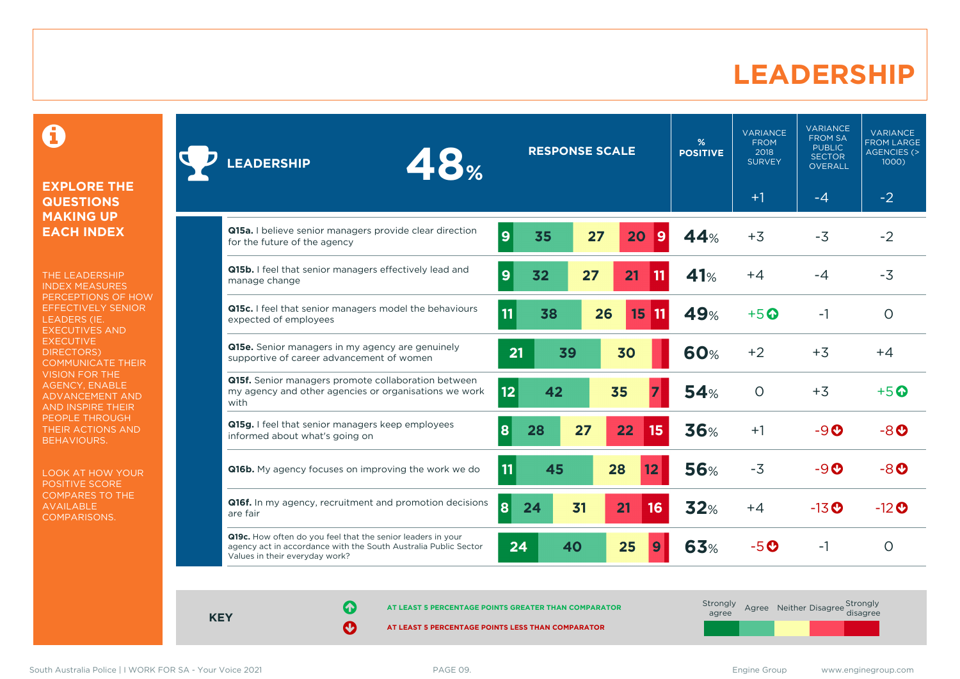### **LEADERSHIP**

0

#### **EXPLORE THE QUESTIONS MAKING UP EACH INDEX**

THE LEADERSHIP INDEX MEASURES PERCEPTIONS OF HOW EFFECTIVELY SENIOR LEADERS (IE. EXECUTIVES AND **EXECUTIVE** DIRECTORS) COMMUNICATE THEIR VISION FOR THE AGENCY, ENABLE ADVANCEMENT AND AND INSPIRE THEIR PEOPLE THROUGH THEIR ACTIONS AND BEHAVIOURS.

LOOK AT HOW YOUR POSITIVE SCORE COMPARES TO THE AVAILABLE COMPARISONS.

| 48%<br><b>LEADERSHIP</b>                                                                                                                                         | <b>RESPONSE SCALE</b> |    | %<br><b>POSITIVE</b>    | <b>VARIANCE</b><br><b>FROM</b><br>2018<br><b>SURVEY</b> | <b>VARIANCE</b><br><b>FROM SA</b><br><b>PUBLIC</b><br><b>SECTOR</b><br><b>OVERALL</b> | <b>VARIANCE</b><br><b>FROM LARGE</b><br><b>AGENCIES (&gt;</b><br>1000) |                                    |
|------------------------------------------------------------------------------------------------------------------------------------------------------------------|-----------------------|----|-------------------------|---------------------------------------------------------|---------------------------------------------------------------------------------------|------------------------------------------------------------------------|------------------------------------|
|                                                                                                                                                                  |                       |    |                         |                                                         | $+1$                                                                                  | $-4$                                                                   | $-2$                               |
| Q15a. I believe senior managers provide clear direction<br>for the future of the agency                                                                          | $\overline{9}$<br>35  | 27 | 20<br>9                 | 44%                                                     | $+3$                                                                                  | $-3$                                                                   | $-2$                               |
| Q15b. I feel that senior managers effectively lead and<br>manage change                                                                                          | 9<br>32               | 27 | 21                      | 41%                                                     | $+4$                                                                                  | $-4$                                                                   | $-3$                               |
| Q15c. I feel that senior managers model the behaviours<br>expected of employees                                                                                  | 11<br>38              |    | 26<br>15<br>  11        | 49%                                                     | $+5$ $\odot$                                                                          | -1                                                                     | $\Omega$                           |
| Q15e. Senior managers in my agency are genuinely<br>supportive of career advancement of women                                                                    | 21                    | 39 | 30                      | <b>60%</b>                                              | $+2$                                                                                  | $+3$                                                                   | $+4$                               |
| Q15f. Senior managers promote collaboration between<br>my agency and other agencies or organisations we work<br>with                                             | 12                    | 42 | 35                      | 54%                                                     | $\Omega$                                                                              | $+3$                                                                   | $+5$ <sup><math>\odot</math></sup> |
| Q15g. I feel that senior managers keep employees<br>informed about what's going on                                                                               | 8<br>28               | 27 | 15 <sub>15</sub><br>22  | 36%                                                     | $+1$                                                                                  | $-9o$                                                                  | $-8$ $O$                           |
| <b>Q16b.</b> My agency focuses on improving the work we do                                                                                                       | 11                    | 45 | 28<br>$12 \overline{ }$ | <b>56%</b>                                              | $-3$                                                                                  | $-9$ $o$                                                               | $-8o$                              |
| Q16f. In my agency, recruitment and promotion decisions<br>are fair                                                                                              | 8<br>24               | 31 | 21<br>16                | 32%                                                     | $+4$                                                                                  | $-13$ <sup>O</sup>                                                     | $-12$ <sup>O</sup>                 |
| Q19c. How often do you feel that the senior leaders in your<br>agency act in accordance with the South Australia Public Sector<br>Values in their everyday work? | 24                    | 40 | 25                      | 63%                                                     | $-5o$                                                                                 | -1                                                                     | O                                  |

**KEY**

**AT LEAST 5 PERCENTAGE POINTS GREATER THAN COMPARATOR** 

**AT LEAST 5 PERCENTAGE POINTS LESS THAN COMPARATOR** 

South Australia Police | I WORK FOR SA - Your Voice 2021 **PAGE 09.** PAGE 09. PAGE 09.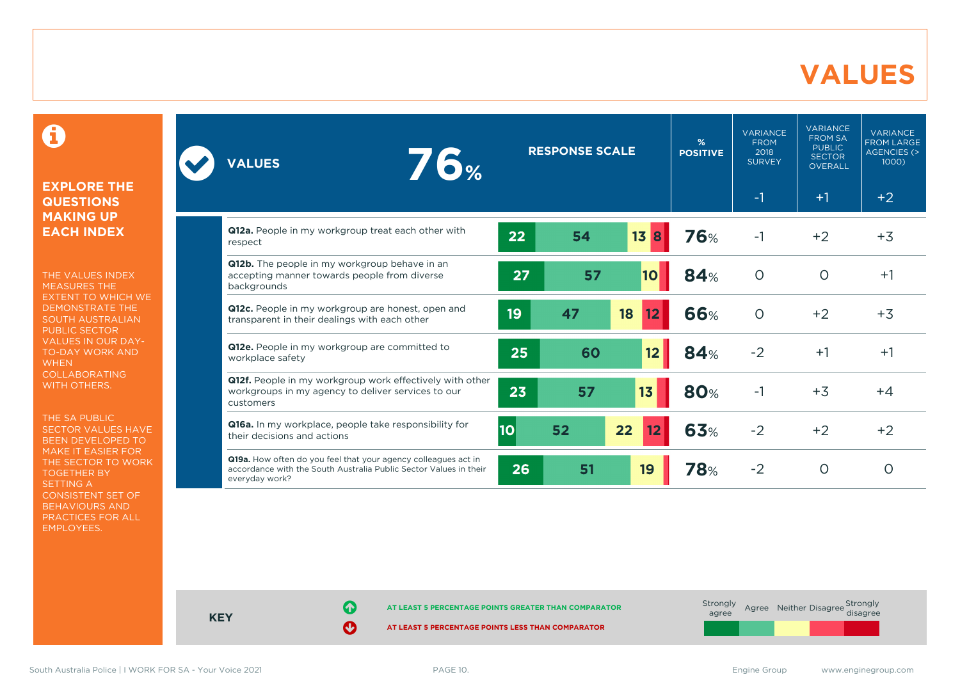### **VALUES**

0

#### **EXPLORE THE QUESTIONS MAKING UP EACH INDEX**

THE VALUES INDEX MEASURES THE EXTENT TO WHICH WE DEMONSTRATE THE SOUTH AUSTRALIAN PUBLIC SECTOR VALUES IN OUR DAY-TO-DAY WORK AND **WHEN** COLLABORATING WITH OTHERS.

THE SA PUBLIC SECTOR VALUES HAVE BEEN DEVELOPED TO MAKE IT EASIER FOR THE SECTOR TO WORK TOGETHER BY SETTING A CONSISTENT SET OF BEHAVIOURS AND PRACTICES FOR ALL EMPLOYEES.

| <b>76%</b><br><b>VALUES</b>                                                                                                                           | <b>RESPONSE SCALE</b> |    | %<br><b>POSITIVE</b> | <b>VARIANCE</b><br><b>FROM</b><br>2018<br><b>SURVEY</b> | <b>VARIANCE</b><br><b>FROM SA</b><br><b>PUBLIC</b><br><b>SECTOR</b><br><b>OVERALL</b> | <b>VARIANCE</b><br><b>FROM LARGE</b><br>AGENCIES (><br>1000 |         |
|-------------------------------------------------------------------------------------------------------------------------------------------------------|-----------------------|----|----------------------|---------------------------------------------------------|---------------------------------------------------------------------------------------|-------------------------------------------------------------|---------|
|                                                                                                                                                       |                       |    |                      |                                                         | $-1$                                                                                  | $+1$                                                        | $+2$    |
| Q12a. People in my workgroup treat each other with<br>respect                                                                                         | 22                    | 54 | 13B                  | <b>76%</b>                                              | $-1$                                                                                  | $+2$                                                        | $+3$    |
| Q12b. The people in my workgroup behave in an<br>accepting manner towards people from diverse<br>backgrounds                                          | 27                    | 57 | 10                   | 84%                                                     | $\circ$                                                                               | $\circ$                                                     | $+1$    |
| Q12c. People in my workgroup are honest, open and<br>transparent in their dealings with each other                                                    | 19                    | 47 | 18<br>12             | <b>66%</b>                                              | $\Omega$                                                                              | $+2$                                                        | $+3$    |
| Q12e. People in my workgroup are committed to<br>workplace safety                                                                                     | 25                    | 60 | 12                   | <b>84%</b>                                              | $-2$                                                                                  | $+1$                                                        | $+1$    |
| Q12f. People in my workgroup work effectively with other<br>workgroups in my agency to deliver services to our<br>customers                           | 23                    | 57 | 13                   | <b>80%</b>                                              | $-1$                                                                                  | $+3$                                                        | $+4$    |
| Q16a. In my workplace, people take responsibility for<br>their decisions and actions                                                                  | 10 <sub>o</sub>       | 52 | 22<br>12             | 63%                                                     | $-2$                                                                                  | $+2$                                                        | $+2$    |
| Q19a. How often do you feel that your agency colleagues act in<br>accordance with the South Australia Public Sector Values in their<br>everyday work? | 26                    | 51 | 19                   | 78%                                                     | $-2$                                                                                  | $\circ$                                                     | $\circ$ |



**KEY**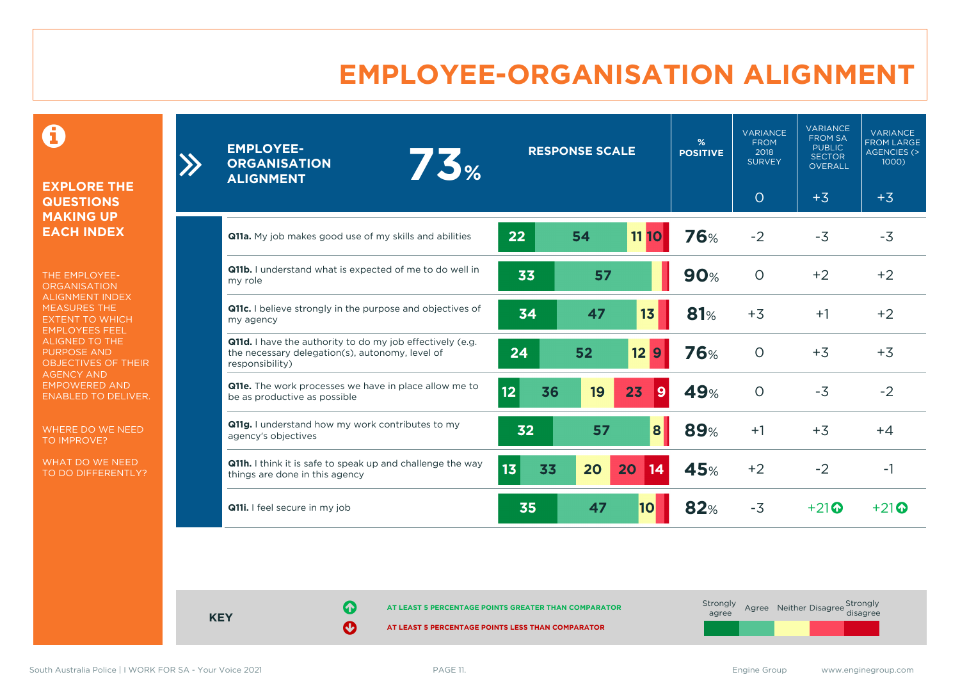### **EMPLOYEE-ORGANISATION ALIGNMENT**

0

**EXPLORE THE QUESTIONS MAKING UP EACH INDEX**

THE EMPLOYEE-**ORGANISATION** ALIGNMENT INDEX MEASURES THE EXTENT TO WHICH EMPLOYEES FEEL ALIGNED TO THE PURPOSE AND OBJECTIVES OF THEIR AGENCY AND EMPOWERED AND ENABLED TO DELIVER.

WHERE DO WE NEED TO IMPROVE?

WHAT DO WE NEED TO DO DIFFERENTLY?

| <b>EMPLOYEE-</b><br>73%<br><b>ORGANISATION</b><br><b>ALIGNMENT</b>                                                              | <b>RESPONSE SCALE</b> |    | %<br><b>POSITIVE</b> | <b>VARIANCE</b><br><b>FROM</b><br>2018<br><b>SURVEY</b> | <b>VARIANCE</b><br><b>FROM SA</b><br><b>PUBLIC</b><br><b>SECTOR</b><br>OVERALL | <b>VARIANCE</b><br><b>FROM LARGE</b><br>AGENCIES (><br>1000) |       |
|---------------------------------------------------------------------------------------------------------------------------------|-----------------------|----|----------------------|---------------------------------------------------------|--------------------------------------------------------------------------------|--------------------------------------------------------------|-------|
|                                                                                                                                 |                       |    |                      |                                                         | $\circ$                                                                        | $+3$                                                         | $+3$  |
| <b>Q11a.</b> My job makes good use of my skills and abilities                                                                   | 22                    | 54 | <b>11 10</b>         | <b>76%</b>                                              | $-2$                                                                           | $-3$                                                         | $-3$  |
| Q11b. I understand what is expected of me to do well in<br>my role                                                              | 33                    | 57 |                      | <b>90%</b>                                              | $\Omega$                                                                       | $+2$                                                         | $+2$  |
| Q11c. I believe strongly in the purpose and objectives of<br>my agency                                                          | 34                    | 47 | 13                   | <b>81%</b>                                              | $+3$                                                                           | $+1$                                                         | $+2$  |
| Q11d. I have the authority to do my job effectively (e.g.<br>the necessary delegation(s), autonomy, level of<br>responsibility) | 24                    | 52 | 129                  | <b>76%</b>                                              | $\Omega$                                                                       | $+3$                                                         | $+3$  |
| Q11e. The work processes we have in place allow me to<br>be as productive as possible                                           | 12 <br>36             | 19 | 23<br>9              | 49%                                                     | $\Omega$                                                                       | $-3$                                                         | $-2$  |
| Q11g. I understand how my work contributes to my<br>agency's objectives                                                         | 32                    | 57 | 8                    | <b>89%</b>                                              | $+1$                                                                           | $+3$                                                         | $+4$  |
| <b>Q11h.</b> I think it is safe to speak up and challenge the way<br>things are done in this agency                             | 13<br>33              | 20 | 20<br>14             | <b>45%</b>                                              | $+2$                                                                           | $-2$                                                         | $-1$  |
| Q11i. I feel secure in my job                                                                                                   | 35                    | 47 | 10                   | 82%                                                     | $-3$                                                                           | $+21$                                                        | $+21$ |

**KEY**

**AT LEAST 5 PERCENTAGE POINTS GREATER THAN COMPARATOR**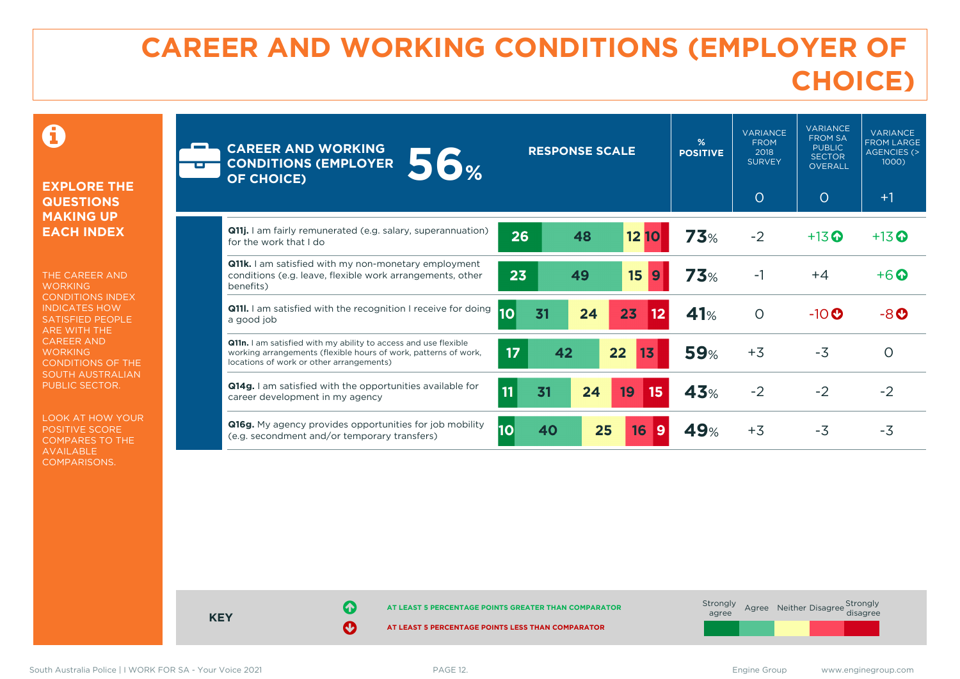### **CAREER AND WORKING CONDITIONS (EMPLOYER OF CHOICE)**

 $\mathbf \Omega$ 

#### **EXPLORE THE QUESTIONS MAKING UP EACH INDEX**

THE CAREER AND **WORKING** CONDITIONS INDEX INDICATES HOW SATISFIED PEOPLE ARE WITH THE CAREER AND **WORKING** CONDITIONS OF THE SOUTH AUSTRALIAN PUBLIC SECTOR.

LOOK AT HOW YOUR POSITIVE SCORE COMPARES TO THE AVAILABLE COMPARISONS.

| <b>CAREER AND WORKING</b><br><b>56%</b><br><b>CONDITIONS (EMPLOYER</b><br><b>OF CHOICE)</b>                                                                                    | <b>RESPONSE SCALE</b> |    | %<br><b>POSITIVE</b> | <b>VARIANCE</b><br><b>FROM</b><br>2018<br><b>SURVEY</b><br>$\circ$ | <b>VARIANCE</b><br><b>FROM SA</b><br><b>PUBLIC</b><br><b>SECTOR</b><br><b>OVERALL</b><br>$\circ$ | <b>VARIANCE</b><br><b>FROM LARGE</b><br><b>AGENCIES (&gt;</b><br>1000)<br>$+1$ |                    |                    |
|--------------------------------------------------------------------------------------------------------------------------------------------------------------------------------|-----------------------|----|----------------------|--------------------------------------------------------------------|--------------------------------------------------------------------------------------------------|--------------------------------------------------------------------------------|--------------------|--------------------|
| <b>Q11j.</b> I am fairly remunerated (e.g. salary, superannuation)<br>for the work that I do                                                                                   | 26                    |    | 48                   | 1210                                                               | <b>73%</b>                                                                                       | $-2$                                                                           | $+13$ <sup>O</sup> | $+13$ <sup>O</sup> |
| <b>Q11k.</b> I am satisfied with my non-monetary employment<br>conditions (e.g. leave, flexible work arrangements, other<br>benefits)                                          | 23                    |    | 49                   | 15<br>9                                                            | 73%                                                                                              | $-1$                                                                           | $+4$               | $+6$ $\odot$       |
| <b>Q11.</b> I am satisfied with the recognition I receive for doing<br>a good job                                                                                              | 10 <sub>1</sub>       | 31 | 24                   | 23<br>12                                                           | 41%                                                                                              | $\circ$                                                                        | $-10$ $\odot$      | $-8o$              |
| Q11n. I am satisfied with my ability to access and use flexible<br>working arrangements (flexible hours of work, patterns of work,<br>locations of work or other arrangements) | 17                    | 42 |                      | 22<br>13                                                           | <b>59%</b>                                                                                       | $+3$                                                                           | $-3$               | $\Omega$           |
| Q14g. I am satisfied with the opportunities available for<br>career development in my agency                                                                                   | 11                    | 31 | 24                   | 19<br>15                                                           | 43%                                                                                              | $-2$                                                                           | $-2$               | $-2$               |
| Q16g. My agency provides opportunities for job mobility<br>(e.g. secondment and/or temporary transfers)                                                                        | <b>10</b>             | 40 | 25                   | 16<br>$\mathbf{9}$                                                 | 49%                                                                                              | $+3$                                                                           | $-3$               | $-3$               |



South Australia Police | I WORK FOR SA - Your Voice 2021 **PAGE 12.** PAGE 12. South Australia Police | I WORK FOR SA - Your Voice 2021 **PAGE 12.** PAGE 12.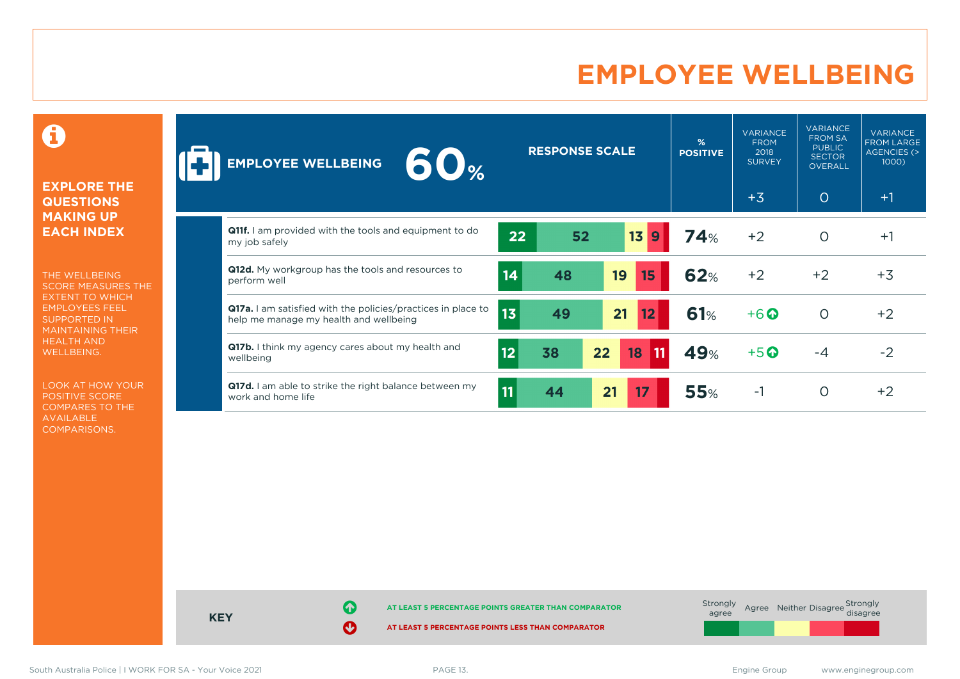### **EMPLOYEE WELLBEING**

0

#### **EXPLORE THE QUESTIONS MAKING UP EACH INDEX**

THE WELLBEING SCORE MEASURES THE EXTENT TO WHICH EMPLOYEES FEEL SUPPORTED IN MAINTAINING THEIR HEALTH AND WELLBEING.

LOOK AT HOW YOUR POSITIVE SCORE COMPARES TO THE AVAILABLE COMPARISONS.

| 60 <sub>%</sub><br><b>EMPLOYEE WELLBEING</b>                                                                  |                 | <b>RESPONSE SCALE</b> |    |                      | %<br><b>POSITIVE</b> | <b>VARIANCE</b><br><b>FROM</b><br>2018<br><b>SURVEY</b> | <b>VARIANCE</b><br><b>FROM SA</b><br><b>PUBLIC</b><br><b>SECTOR</b><br><b>OVERALL</b> | <b>VARIANCE</b><br><b>FROM LARGE</b><br><b>AGENCIES (&gt;</b><br>1000) |
|---------------------------------------------------------------------------------------------------------------|-----------------|-----------------------|----|----------------------|----------------------|---------------------------------------------------------|---------------------------------------------------------------------------------------|------------------------------------------------------------------------|
|                                                                                                               |                 |                       |    |                      |                      | $+3$                                                    | $\circ$                                                                               | $+1$                                                                   |
| <b>Q11f.</b> I am provided with the tools and equipment to do<br>my job safely                                | 22              | 52                    |    | 13 <sup>°</sup><br>9 | 74%                  | $+2$                                                    | $\circ$                                                                               | $+1$                                                                   |
| Q12d. My workgroup has the tools and resources to<br>perform well                                             | 14              | 48                    |    | 19<br>15             | <b>62%</b>           | $+2$                                                    | $+2$                                                                                  | $+3$                                                                   |
| <b>Q17a.</b> I am satisfied with the policies/practices in place to<br>help me manage my health and wellbeing | 13 <sup>2</sup> | 49                    |    | 21<br>12             | 61%                  | $+6$ $\odot$                                            | $\circ$                                                                               | $+2$                                                                   |
| Q17b. I think my agency cares about my health and<br>wellbeing                                                | 12              | 38                    | 22 | 18<br>  11           | 49%                  | $+5$ <sup><math>\odot</math></sup>                      | $-4$                                                                                  | $-2$                                                                   |
| Q17d. I am able to strike the right balance between my<br>work and home life                                  | 11              | 44                    | 21 | 17                   | <b>55%</b>           | $-1$                                                    | $\Omega$                                                                              | $+2$                                                                   |

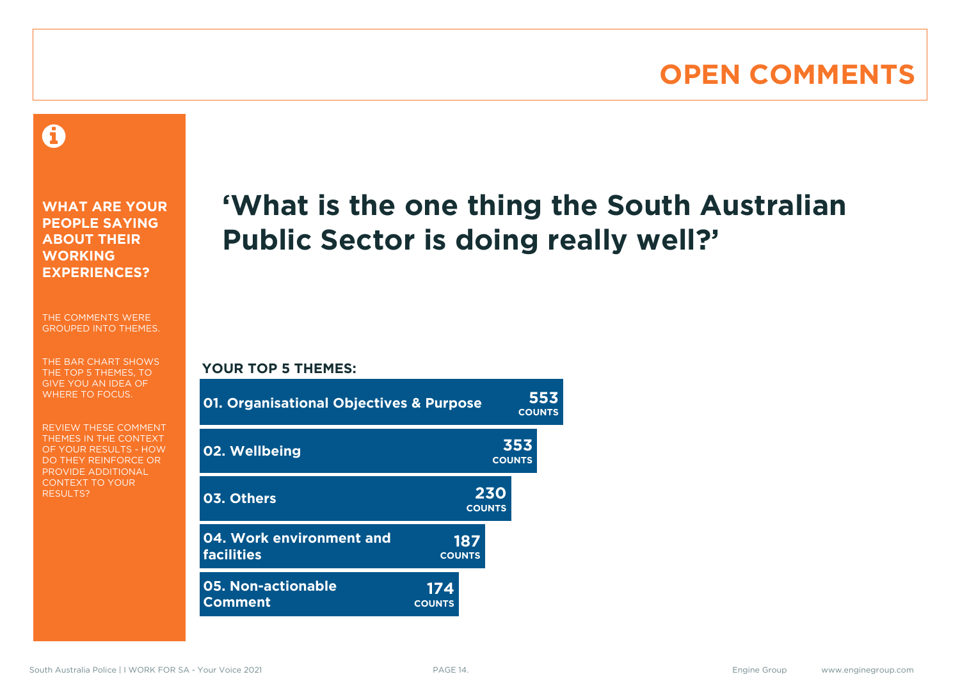### **OPEN COMMENTS**

### 0

**WHAT ARE YOUR PEOPLE SAYING ABOUT THEIR WORKING EXPERIENCES?**

THE COMMENTS WERE GROUPED INTO THEMES.

THE BAR CHART SHOWS THE TOP 5 THEMES, TO GIVE YOU AN IDEA OF WHERE TO FOCUS.

REVIEW THESE COMMENT THEMES IN THE CONTEXT OF YOUR RESULTS - HOW DO THEY REINFORCE OR PROVIDE ADDITIONAL CONTEXT TO YOUR **RESULTS?** 

## **'What is the one thing the South Australian Public Sector is doing really well?'**

#### **YOUR TOP 5 THEMES:**

| <b>01. Organisational Objectives &amp; Purpose</b> |                      |                      | <b>COUNTS</b>        | 553 |
|----------------------------------------------------|----------------------|----------------------|----------------------|-----|
| 02. Wellbeing                                      |                      |                      | 353<br><b>COUNTS</b> |     |
| 03. Others                                         |                      | 230<br><b>COUNTS</b> |                      |     |
| 04. Work environment and<br><b>facilities</b>      | 187<br><b>COUNTS</b> |                      |                      |     |
| <b>05. Non-actionable</b><br><b>Comment</b>        | 174<br><b>COUNTS</b> |                      |                      |     |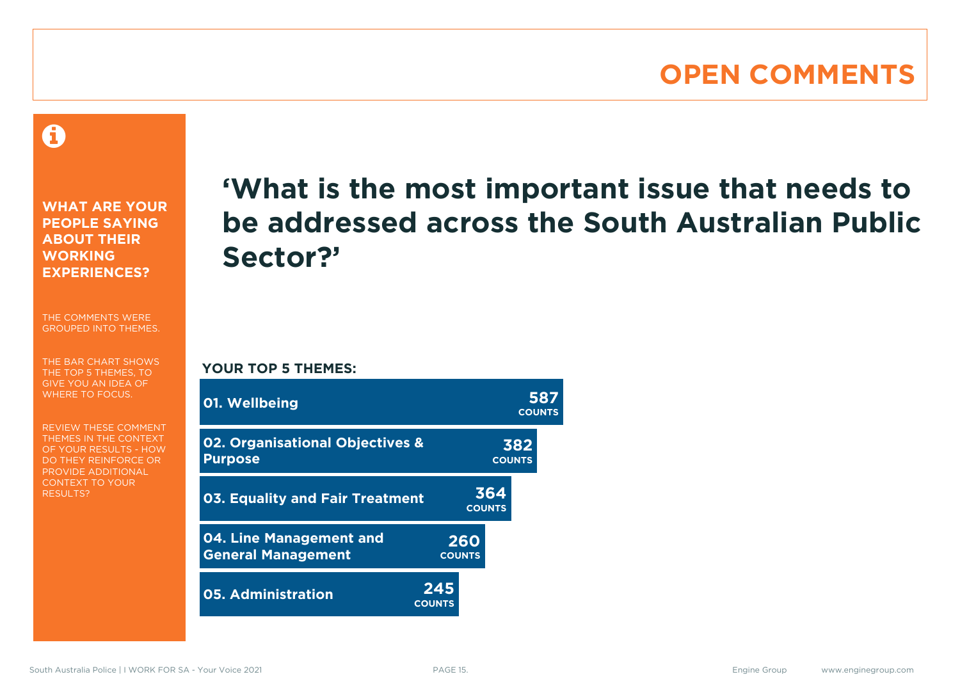### **OPEN COMMENTS**

A

**WHAT ARE YOUR PEOPLE SAYING ABOUT THEIR WORKING EXPERIENCES?**

THE COMMENTS WERE GROUPED INTO THEMES.

THE BAR CHART SHOWS THE TOP 5 THEMES, TO GIVE YOU AN IDEA OF WHERE TO FOCUS.

REVIEW THESE COMMENT THEMES IN THE CONTEXT OF YOUR RESULTS - HOW DO THEY REINFORCE OR PROVIDE ADDITIONAL CONTEXT TO YOUR **RESULTS?** 

### **'What is the most important issue that needs to be addressed across the South Australian Public Sector?'**

**COUNTS**

**YOUR TOP 5 THEMES:**

| 01. Wellbeing                                        |                      |                      | <b>COUNTS</b> |
|------------------------------------------------------|----------------------|----------------------|---------------|
| 02. Organisational Objectives &<br><b>Purpose</b>    |                      | 382<br><b>COUNTS</b> |               |
| <b>03. Equality and Fair Treatment</b>               |                      | 364<br><b>COUNTS</b> |               |
| 04. Line Management and<br><b>General Management</b> | 260<br><b>COUNTS</b> |                      |               |
| <b>05. Administration</b>                            | 245<br><b>COUNTS</b> |                      |               |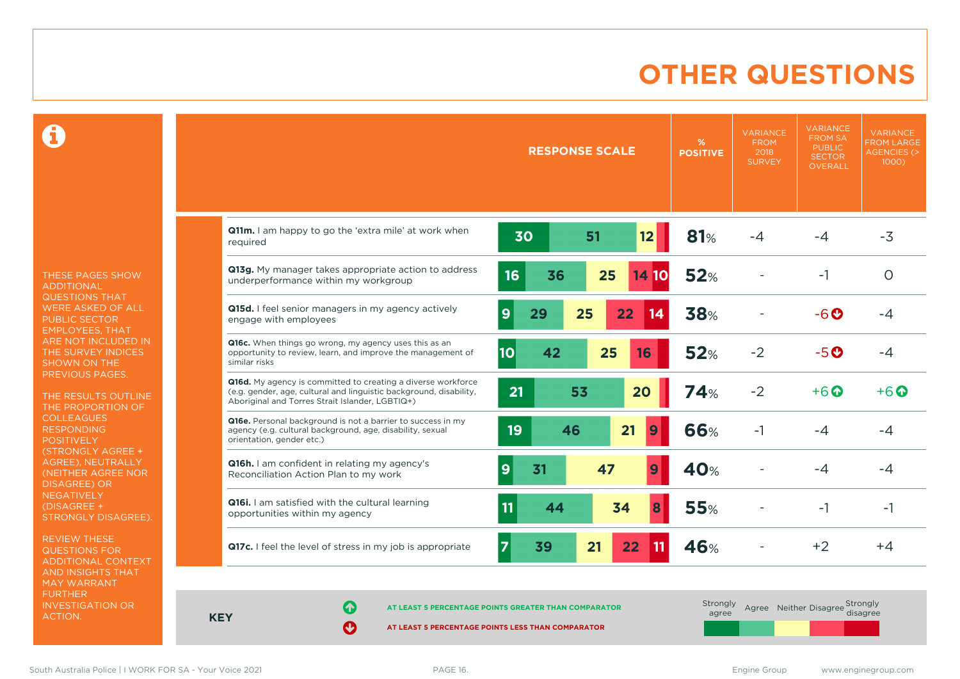### **OTHER QUESTIONS**

0

THESE PAGES SHOW ADDITIONAL QUESTIONS THAT WERE ASKED OF ALL PUBLIC SECTOR EMPLOYEES, THAT ARE NOT INCLUDED IN THE SURVEY INDICES SHOWN ON THE PREVIOUS PAGES.

THE RESULTS OUTLINE THE PROPORTION OF COLLEAGUES RESPONDING POSITIVELY (STRONGLY AGREE + AGREE), NEUTRALLY (NEITHER AGREE NOR DISAGREE) OR **NEGATIVELY** (DISAGREE + STRONGLY DISAGREE).

REVIEW THESE QUESTIONS FOR ADDITIONAL CONTEXT AND INSIGHTS THAT MAY WARRANT FURTHER INVESTIGATION OR ACTION.

|                                                                                                                                                                                       |                      | <b>RESPONSE SCALE</b> |                       | %<br><b>POSITIVE</b> | <b>VARIANCE</b><br><b>FROM</b><br>2018<br><b>SURVEY</b> | <b>VARIANCE</b><br><b>FROM SA</b><br><b>PUBLIC</b><br><b>SECTOR</b><br><b>OVERALL</b> | <b>VARIANCE</b><br><b>FROM LARGE</b><br><b>AGENCIES (&gt;</b><br>1000 |
|---------------------------------------------------------------------------------------------------------------------------------------------------------------------------------------|----------------------|-----------------------|-----------------------|----------------------|---------------------------------------------------------|---------------------------------------------------------------------------------------|-----------------------------------------------------------------------|
| Q11m. I am happy to go the 'extra mile' at work when<br>required                                                                                                                      | 30                   | 51                    | 12                    | 81%                  | $-4$                                                    | $-4$                                                                                  | $-3$                                                                  |
| Q13g. My manager takes appropriate action to address<br>underperformance within my workgroup                                                                                          | 16                   | 36<br>25              | 14 10                 | <b>52%</b>           |                                                         | $-1$                                                                                  | $\circ$                                                               |
| Q15d. I feel senior managers in my agency actively<br>engage with employees                                                                                                           | 9<br>29              | 25                    | 22<br>14              | <b>38%</b>           |                                                         | $-6o$                                                                                 | -4                                                                    |
| Q16c. When things go wrong, my agency uses this as an<br>opportunity to review, learn, and improve the management of<br>similar risks                                                 | 42<br>10             | 25                    | 16                    | 52%                  | $-2$                                                    | $-5$ $\odot$                                                                          | $-4$                                                                  |
| Q16d. My agency is committed to creating a diverse workforce<br>(e.g. gender, age, cultural and linguistic background, disability,<br>Aboriginal and Torres Strait Islander, LGBTIQ+) | 21                   | 53                    | 20                    | <b>74%</b>           | $-2$                                                    | $+6$ $\odot$                                                                          | $+6$ $\odot$                                                          |
| Q16e. Personal background is not a barrier to success in my<br>agency (e.g. cultural background, age, disability, sexual<br>orientation, gender etc.)                                 | 19                   | 46                    | 21<br>9               | 66%                  | -1                                                      | $-4$                                                                                  | -4                                                                    |
| Q16h. I am confident in relating my agency's<br>Reconciliation Action Plan to my work                                                                                                 | 31<br>9              | 47                    | 9                     | 40%                  |                                                         | -4                                                                                    | -4                                                                    |
| <b>Q16i.</b> I am satisfied with the cultural learning<br>opportunities within my agency                                                                                              | 11                   | 44                    | 34<br>8               | <b>55%</b>           |                                                         | $-1$                                                                                  | $-1$                                                                  |
| Q17c. I feel the level of stress in my job is appropriate                                                                                                                             | $\overline{7}$<br>39 | 21                    | 22<br>$\overline{11}$ | 46%                  |                                                         | $+2$                                                                                  | $+4$                                                                  |

**KEY**

**AT LEAST 5 PERCENTAGE POINTS GREATER THAN COMPARATOR**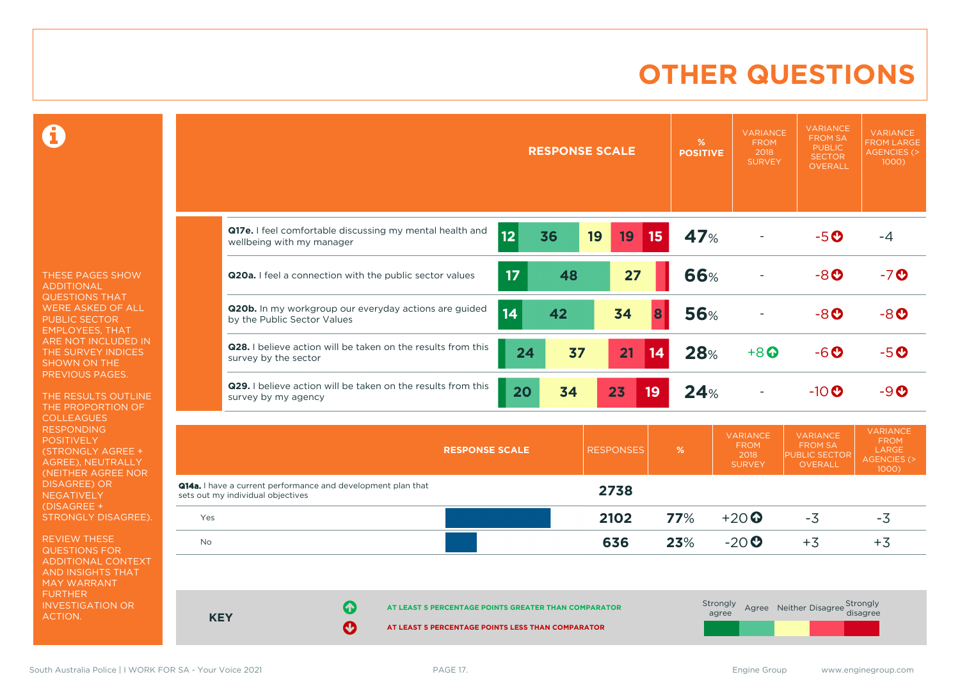### **OTHER QUESTIONS**

 $\mathbf \Omega$ 

THESE PAGES SHOW ADDITIONAL QUESTIONS THAT WERE ASKED OF ALL PUBLIC SECTOR EMPLOYEES, THAT ARE NOT INCLUDED IN THE SURVEY INDICES SHOWN ON THE PREVIOUS PAGES.

THE RESULTS OUTLINE THE PROPORTION OF COLLEAGUES RESPONDING **POSITIVELY** (STRONGLY AGREE + AGREE), NEUTRALLY (NEITHER AGREE NOR DISAGREE) OR NEGATIVELY (DISAGREE + STRONGLY DISAGREE).

REVIEW THESE QUESTIONS FOR ADDITIONAL CONTEXT AND INSIGHTS THAT MAY WARRANT FURTHER INVESTIGATION OR ACTION.

|                                                                                       | <b>RESPONSE SCALE</b>       | %<br><b>POSITIVE</b> | <b>VARIANCE</b><br><b>FROM</b><br>2018<br><b>SURVEY</b> | <b>VARIANCE</b><br><b>FROM SA</b><br><b>PUBLIC</b><br><b>SECTOR</b><br><b>OVERALL</b> | <b>VARIANCE</b><br><b>FROM LARGE</b><br><b>AGENCIES (&gt;</b><br>$1000$ ) |
|---------------------------------------------------------------------------------------|-----------------------------|----------------------|---------------------------------------------------------|---------------------------------------------------------------------------------------|---------------------------------------------------------------------------|
| Q17e. I feel comfortable discussing my mental health and<br>wellbeing with my manager | 12<br>15<br>36<br>19<br>19  | 47%                  |                                                         | $-5$ $\odot$                                                                          | -4                                                                        |
| Q20a. I feel a connection with the public sector values                               | 17 <sup>2</sup><br>27<br>48 | <b>66%</b>           |                                                         | $-8$ <sup><math>\odot</math></sup>                                                    | $-7$ $\odot$                                                              |
| Q20b. In my workgroup our everyday actions are guided<br>by the Public Sector Values  | 14<br>34<br>42<br>8         | <b>56%</b>           |                                                         | $-8o$                                                                                 | $-8o$                                                                     |
| Q28. I believe action will be taken on the results from this<br>survey by the sector  | 37<br>21<br>24<br>14        | 28%                  | $+8$ <sup><math>\odot</math></sup>                      | $-6$ $\odot$                                                                          | $-5$ $\odot$                                                              |
| Q29. I believe action will be taken on the results from this<br>survey by my agency   | 34<br>23<br>20<br>19        | 24%                  | $\overline{\phantom{a}}$                                | $-10$ $\odot$                                                                         | -90                                                                       |

|                                                                                                          |                            | <b>RESPONSE SCALE</b>                                                                                     | <b>RESPONSES</b> | $\sqrt{26}$ | <b>VARIANCE</b><br><b>FROM</b><br>2018<br><b>SURVEY</b> | <b>VARIANCE</b><br><b>FROM SA</b><br><b>PUBLIC SECTOR</b><br>OVERALL | <b>VARIANCE</b><br><b>FROM</b><br>LARGE<br>AGENCIES (><br>1000) |
|----------------------------------------------------------------------------------------------------------|----------------------------|-----------------------------------------------------------------------------------------------------------|------------------|-------------|---------------------------------------------------------|----------------------------------------------------------------------|-----------------------------------------------------------------|
| <b>Q14a.</b> I have a current performance and development plan that<br>sets out my individual objectives |                            |                                                                                                           | 2738             |             |                                                         |                                                                      |                                                                 |
| Yes                                                                                                      |                            |                                                                                                           | 2102             | 77%         | $+20$                                                   | $-3$                                                                 | $-3$                                                            |
| <b>No</b>                                                                                                |                            |                                                                                                           | 636              | 23%         | $-20o$                                                  | $+3$                                                                 | $+3$                                                            |
| <b>KEY</b>                                                                                               | 0<br>$\boldsymbol{\Omega}$ | AT LEAST 5 PERCENTAGE POINTS GREATER THAN COMPARATOR<br>AT LEAST 5 PERCENTAGE POINTS LESS THAN COMPARATOR |                  |             | Strongly<br>agree                                       | Agree Neither Disagree                                               | Strongly<br>disagree                                            |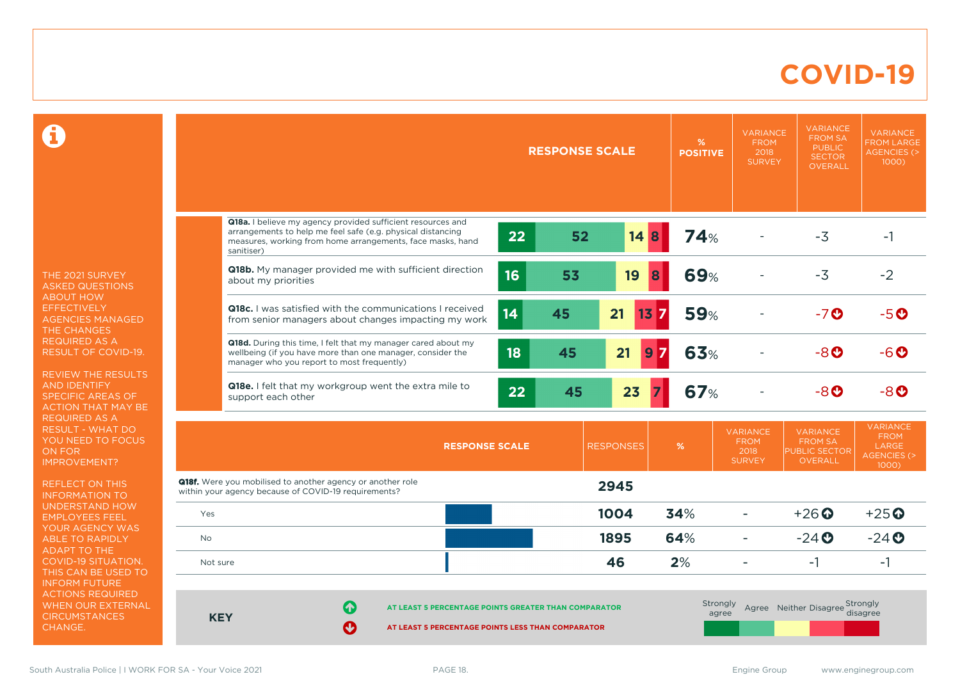### **COVID-19**

 $\mathbf \Omega$ 

THE 2021 SURVEY ASKED QUESTIONS ABOUT HOW EFFECTIVELY AGENCIES MANAGED THE CHANGES REQUIRED AS A RESULT OF COVID-19.

REVIEW THE RESULTS AND IDENTIFY SPECIFIC AREAS OF ACTION THAT MAY BE REQUIRED AS A RESULT - WHAT DO YOU NEED TO FOCUS ON FOR IMPROVEMENT?

REFLECT ON THIS INFORMATION TO UNDERSTAND HOW EMPLOYEES FEEL YOUR AGENCY WAS ABLE TO RAPIDLY ADAPT TO THE COVID-19 SITUATION. THIS CAN BE USED TO INFORM FUTURE ACTIONS REQUIRED WHEN OUR EXTERNAL **CIRCUMSTANCES** CHANGE.

|            |                                                                                                                                                                                                        | <b>RESPONSE SCALE</b> |    |                        | %<br><b>POSITIVE</b> | <b>VARIANCE</b><br><b>FROM</b><br>2018<br><b>SURVEY</b> | <b>VARIANCE</b><br><b>FROM SA</b><br><b>PUBLIC</b><br><b>SECTOR</b><br><b>OVERALL</b> | <b>VARIANCE</b><br><b>FROM LARGE</b><br><b>AGENCIES (&gt;</b><br>1000)           |
|------------|--------------------------------------------------------------------------------------------------------------------------------------------------------------------------------------------------------|-----------------------|----|------------------------|----------------------|---------------------------------------------------------|---------------------------------------------------------------------------------------|----------------------------------------------------------------------------------|
|            |                                                                                                                                                                                                        |                       |    |                        |                      |                                                         |                                                                                       |                                                                                  |
|            | Q18a. I believe my agency provided sufficient resources and<br>arrangements to help me feel safe (e.g. physical distancing<br>measures, working from home arrangements, face masks, hand<br>sanitiser) | 22                    | 52 | 14B                    | <b>74%</b>           |                                                         | $-3$                                                                                  | $-1$                                                                             |
|            | Q18b. My manager provided me with sufficient direction<br>about my priorities                                                                                                                          | 16                    | 53 | 19<br>8                | <b>69%</b>           |                                                         | $-3$                                                                                  | $-2$                                                                             |
|            | <b>Q18c.</b> I was satisfied with the communications I received<br>from senior managers about changes impacting my work                                                                                | 14                    | 45 | 21<br>$13\overline{7}$ | <b>59%</b>           |                                                         | $-7$ <sup>O</sup>                                                                     | $-5o$                                                                            |
|            | Q18d. During this time, I felt that my manager cared about my<br>wellbeing (if you have more than one manager, consider the<br>manager who you report to most frequently)                              | 18                    | 45 | 21<br>9                | 63%                  |                                                         | $-8o$                                                                                 | -6 O                                                                             |
|            | Q18e. I felt that my workgroup went the extra mile to<br>support each other                                                                                                                            | 22                    | 45 | 23                     | <b>67%</b>           |                                                         | $-8o$                                                                                 | $-8o$                                                                            |
|            | <b>RESPONSE SCALE</b>                                                                                                                                                                                  |                       |    | <b>RESPONSES</b>       | %                    | <b>VARIANCE</b><br><b>FROM</b><br>2018<br><b>SURVEY</b> | <b>VARIANCE</b><br><b>FROM SA</b><br><b>PUBLIC SECTOR</b><br><b>OVERALL</b>           | <b>VARIANCE</b><br><b>FROM</b><br><b>LARGE</b><br><b>AGENCIES (&gt;</b><br>1000) |
|            | <b>Q18f.</b> Were you mobilised to another agency or another role<br>within your agency because of COVID-19 requirements?                                                                              |                       |    | 2945                   |                      |                                                         |                                                                                       |                                                                                  |
| Yes        |                                                                                                                                                                                                        |                       |    | 1004                   | 34%                  | ÷                                                       | $+26$ $\odot$                                                                         | $+25$ <sup><math>\odot</math></sup>                                              |
| No         |                                                                                                                                                                                                        |                       |    | 1895                   | 64%                  | ÷                                                       | $-24$ $O$                                                                             | $-24$                                                                            |
| Not sure   |                                                                                                                                                                                                        |                       |    | 46                     | 2%                   | ÷                                                       | $-1$                                                                                  | $-1$                                                                             |
| <b>KEY</b> | 6<br>AT LEAST 5 PERCENTAGE POINTS GREATER THAN COMPARATOR<br>Ø<br>AT LEAST 5 PERCENTAGE POINTS LESS THAN COMPARATOR                                                                                    |                       |    |                        | Strongly             | agree                                                   | Agree Neither Disagree Strongly                                                       | disagree                                                                         |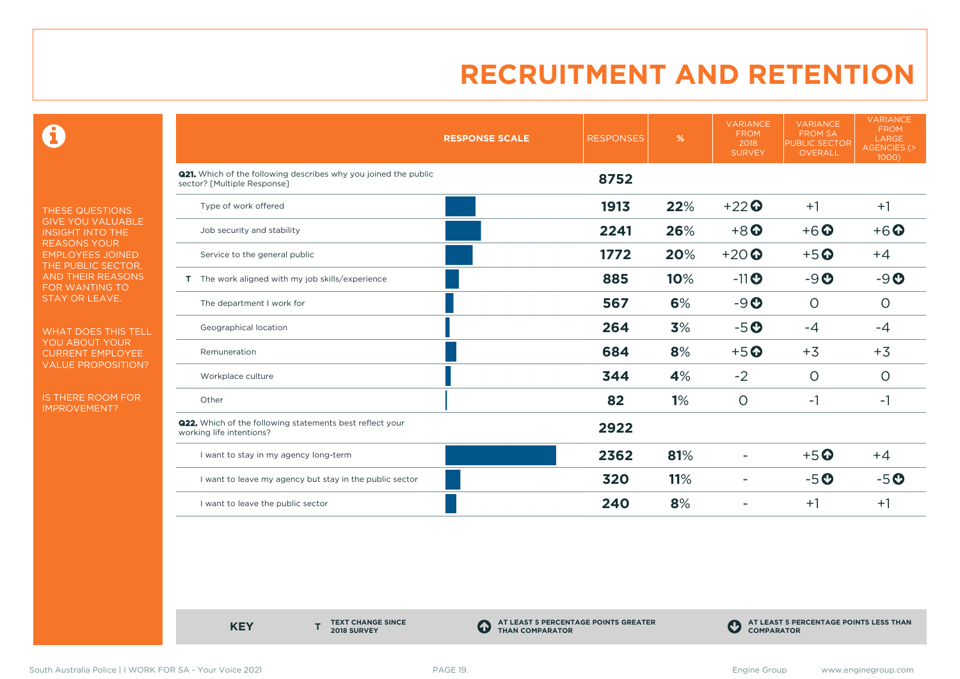$\mathbf \Theta$ 

THESE QUESTIONS GIVE YOU VALUABLE INSIGHT INTO THE REASONS YOUR EMPLOYEES JOINED THE PUBLIC SECTOR, AND THEIR REASONS FOR WANTING TO STAY OR LEAVE.

WHAT DOES THIS TELL YOU ABOUT YOUR CURRENT EMPLOYEE VALUE PROPOSITION?

IS THERE ROOM FOR IMPROVEMENT?

|                                                                                                       | <b>RESPONSE SCALE</b> | <b>RESPONSES</b> | %   | <b>VARIANCE</b><br><b>FROM</b><br>2018<br><b>SURVEY</b> | <b>VARIANCE</b><br><b>FROM SA</b><br><b>PUBLIC SECTOR</b><br><b>OVERALL</b> | <b>VARIANCE</b><br><b>FROM</b><br><b>LARGE</b><br><b>AGENCIES (&gt;</b><br>1000) |
|-------------------------------------------------------------------------------------------------------|-----------------------|------------------|-----|---------------------------------------------------------|-----------------------------------------------------------------------------|----------------------------------------------------------------------------------|
| <b>Q21.</b> Which of the following describes why you joined the public<br>sector? [Multiple Response] |                       | 8752             |     |                                                         |                                                                             |                                                                                  |
| Type of work offered                                                                                  |                       | 1913             | 22% | $+22$                                                   | $+1$                                                                        | $+1$                                                                             |
| Job security and stability                                                                            |                       | 2241             | 26% | $+8$ <sup>O</sup>                                       | $+6$ <sup><math>\odot</math></sup>                                          | $+6$ $\odot$                                                                     |
| Service to the general public                                                                         |                       | 1772             | 20% | $+20$                                                   | $+5$ <sup>O</sup>                                                           | $+4$                                                                             |
| T The work aligned with my job skills/experience                                                      |                       | 885              | 10% | $-11$ $\odot$                                           | $-9O$                                                                       | $-9O$                                                                            |
| The department I work for                                                                             |                       | 567              | 6%  | $-9o$                                                   | $\circ$                                                                     | $\circ$                                                                          |
| Geographical location                                                                                 |                       | 264              | 3%  | $-5o$                                                   | $-4$                                                                        | $-4$                                                                             |
| Remuneration                                                                                          |                       | 684              | 8%  | $+5$ <sup>O</sup>                                       | $+3$                                                                        | $+3$                                                                             |
| Workplace culture                                                                                     |                       | 344              | 4%  | $-2$                                                    | $\circ$                                                                     | $\circ$                                                                          |
| Other                                                                                                 |                       | 82               | 1%  | $\circ$                                                 | $-1$                                                                        | $-1$                                                                             |
| <b>Q22.</b> Which of the following statements best reflect your<br>working life intentions?           |                       | 2922             |     |                                                         |                                                                             |                                                                                  |
| I want to stay in my agency long-term                                                                 |                       | 2362             | 81% |                                                         | $+5$ <sup>O</sup>                                                           | $+4$                                                                             |
| I want to leave my agency but stay in the public sector                                               |                       | 320              | 11% |                                                         | $-5o$                                                                       | $-5o$                                                                            |
| I want to leave the public sector                                                                     |                       | 240              | 8%  |                                                         | $+1$                                                                        | $+1$                                                                             |

**KEY** 

**TEXT CHANGE SINCE 2018 SURVEY**

**AT LEAST 5 PERCENTAGE POINTS GREATER THAN COMPARATOR**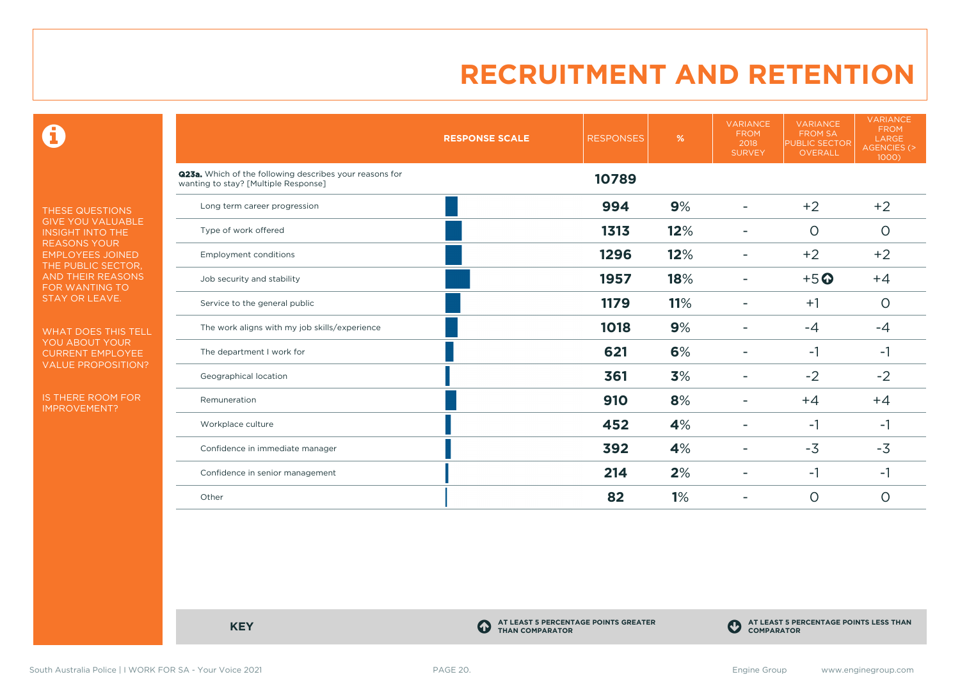$\mathbf \Theta$ 

THESE QUESTIONS GIVE YOU VALUABLE INSIGHT INTO THE REASONS YOUR EMPLOYEES JOINED THE PUBLIC SECTOR, AND THEIR REASONS FOR WANTING TO STAY OR LEAVE.

WHAT DOES THIS TELL YOU ABOUT YOUR CURRENT EMPLOYEE VALUE PROPOSITION?

IS THERE ROOM FOR IMPROVEMENT?

|                                                                                                 | <b>RESPONSE SCALE</b> | <b>RESPONSES</b> | %   | <b>VARIANCE</b><br><b>FROM</b><br>2018<br><b>SURVEY</b> | <b>VARIANCE</b><br><b>FROM SA</b><br><b>PUBLIC SECTOR</b><br>OVERALL | <b>VARIANCE</b><br><b>FROM</b><br>LARGE<br>AGENCIES (><br>1000) |
|-------------------------------------------------------------------------------------------------|-----------------------|------------------|-----|---------------------------------------------------------|----------------------------------------------------------------------|-----------------------------------------------------------------|
| Q23a. Which of the following describes your reasons for<br>wanting to stay? [Multiple Response] |                       | 10789            |     |                                                         |                                                                      |                                                                 |
| Long term career progression                                                                    |                       | 994              | 9%  |                                                         | $+2$                                                                 | $+2$                                                            |
| Type of work offered                                                                            |                       | 1313             | 12% |                                                         | $\circ$                                                              | $\circ$                                                         |
| <b>Employment conditions</b>                                                                    |                       | 1296             | 12% |                                                         | $+2$                                                                 | $+2$                                                            |
| Job security and stability                                                                      |                       | 1957             | 18% |                                                         | $+5$ <sup>O</sup>                                                    | $+4$                                                            |
| Service to the general public                                                                   |                       | 1179             | 11% |                                                         | $+1$                                                                 | $\circ$                                                         |
| The work aligns with my job skills/experience                                                   |                       | 1018             | 9%  |                                                         | $-4$                                                                 | $-4$                                                            |
| The department I work for                                                                       |                       | 621              | 6%  |                                                         | $-1$                                                                 | $-1$                                                            |
| Geographical location                                                                           |                       | 361              | 3%  |                                                         | $-2$                                                                 | $-2$                                                            |
| Remuneration                                                                                    |                       | 910              | 8%  |                                                         | $+4$                                                                 | $+4$                                                            |
| Workplace culture                                                                               |                       | 452              | 4%  |                                                         | $-1$                                                                 | -1                                                              |
| Confidence in immediate manager                                                                 |                       | 392              | 4%  |                                                         | $-3$                                                                 | $-3$                                                            |
| Confidence in senior management                                                                 |                       | 214              | 2%  |                                                         | $-1$                                                                 | $-1$                                                            |
| Other                                                                                           |                       | 82               | 1%  |                                                         | $\circ$                                                              | $\circ$                                                         |

**KEY C** 

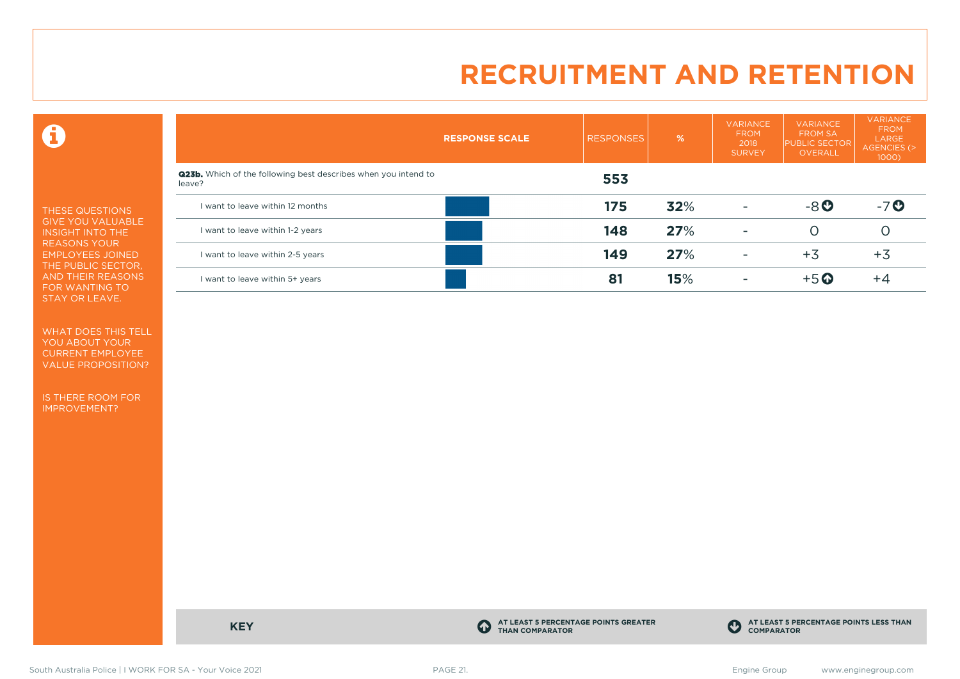$\mathbf \Theta$ 

THESE QUESTIONS GIVE YOU VALUABLE INSIGHT INTO THE REASONS YOUR EMPLOYEES JOINED THE PUBLIC SECTOR, AND THEIR REASONS FOR WANTING TO STAY OR LEAVE.

WHAT DOES THIS TELL YOU ABOUT YOUR CURRENT EMPLOYEE VALUE PROPOSITION?

IS THERE ROOM FOR IMPROVEMENT?

|                                                                                 | <b>RESPONSE SCALE</b> | <b>RESPONSES</b> | %   | <b>VARIANCE</b><br><b>FROM</b><br>2018<br><b>SURVEY</b> | <b>VARIANCE</b><br><b>FROM SA</b><br><b>PUBLIC SECTOR</b><br>OVERALL | <b>VARIANCE</b><br><b>FROM</b><br>LARGE<br>AGENCIES (><br>1000) |
|---------------------------------------------------------------------------------|-----------------------|------------------|-----|---------------------------------------------------------|----------------------------------------------------------------------|-----------------------------------------------------------------|
| <b>Q23b.</b> Which of the following best describes when you intend to<br>leave? |                       | 553              |     |                                                         |                                                                      |                                                                 |
| I want to leave within 12 months                                                |                       | 175              | 32% | $\overline{\phantom{a}}$                                | $-8$ <sup>O</sup>                                                    | $-7o$                                                           |
| I want to leave within 1-2 years                                                |                       | 148              | 27% | $\overline{\phantom{a}}$                                | Ο                                                                    |                                                                 |
| I want to leave within 2-5 years                                                |                       | 149              | 27% | $\overline{\phantom{a}}$                                | $+3$                                                                 | $+3$                                                            |
| I want to leave within 5+ years                                                 |                       | 81               | 15% |                                                         | $+5$ $\odot$                                                         | $+4$                                                            |

**KEY C** 

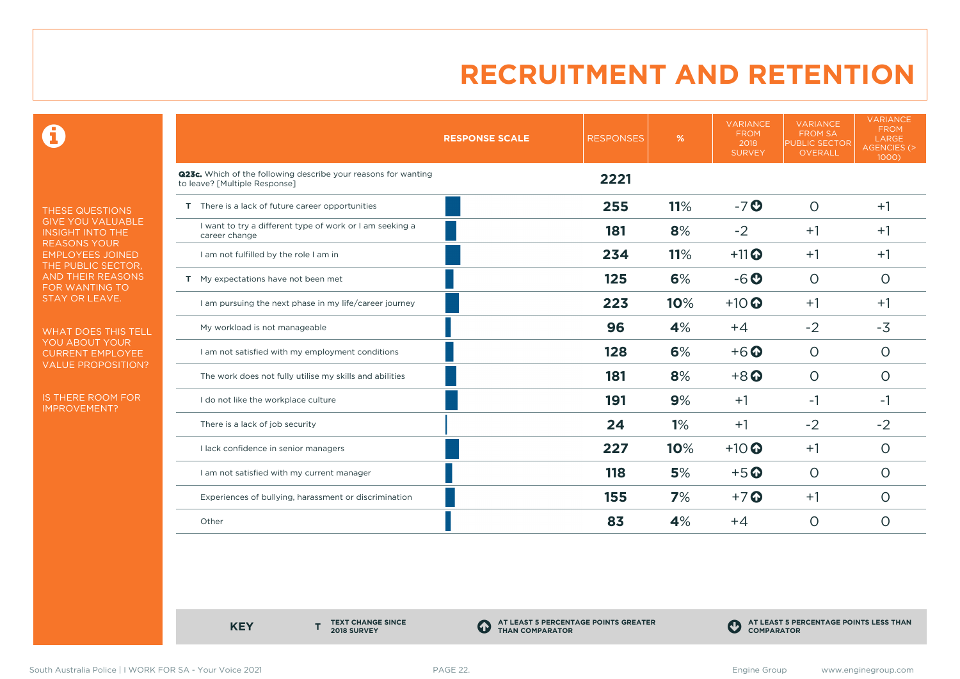0

THESE QUESTIONS GIVE YOU VALUABLE INSIGHT INTO THE **REASONS YOUR** EMPLOYEES JOINED THE PUBLIC SECTOR, AND THEIR REASONS FOR WANTING TO STAY OR LEAVE.

WHAT DOES THIS TELL YOU ABOUT YOUR CURRENT EMPLOYEE VALUE PROPOSITION?

IS THERE ROOM FOR IMPROVEMENT?

|                                                                                                 | <b>RESPONSE SCALE</b> | <b>RESPONSES</b> | %   | <b>VARIANCE</b><br><b>FROM</b><br>2018<br><b>SURVEY</b> | <b>VARIANCE</b><br><b>FROM SA</b><br><b>PUBLIC SECTOR</b><br><b>OVERALL</b> | <b>VARIANCE</b><br><b>FROM</b><br>LARGE<br><b>AGENCIES (&gt;</b><br>1000) |
|-------------------------------------------------------------------------------------------------|-----------------------|------------------|-----|---------------------------------------------------------|-----------------------------------------------------------------------------|---------------------------------------------------------------------------|
| Q23c. Which of the following describe your reasons for wanting<br>to leave? [Multiple Response] |                       | 2221             |     |                                                         |                                                                             |                                                                           |
| T There is a lack of future career opportunities                                                |                       | 255              | 11% | $-7o$                                                   | $\Omega$                                                                    | $+1$                                                                      |
| I want to try a different type of work or I am seeking a<br>career change                       |                       | 181              | 8%  | $-2$                                                    | $+1$                                                                        | $+1$                                                                      |
| I am not fulfilled by the role I am in                                                          |                       | 234              | 11% | $+11$ <sup>O</sup>                                      | $+1$                                                                        | $+1$                                                                      |
| T My expectations have not been met                                                             |                       | 125              | 6%  | $-6o$                                                   | $\circ$                                                                     | $\circ$                                                                   |
| I am pursuing the next phase in my life/career journey                                          |                       | 223              | 10% | $+10$                                                   | $+1$                                                                        | $+1$                                                                      |
| My workload is not manageable                                                                   |                       | 96               | 4%  | $+4$                                                    | $-2$                                                                        | $-3$                                                                      |
| I am not satisfied with my employment conditions                                                |                       | 128              | 6%  | $+6$ <sup>O</sup>                                       | $\circ$                                                                     | $\circ$                                                                   |
| The work does not fully utilise my skills and abilities                                         |                       | 181              | 8%  | $+8$ <sup>O</sup>                                       | O                                                                           | O                                                                         |
| I do not like the workplace culture                                                             |                       | 191              | 9%  | $+1$                                                    | -1                                                                          | -1                                                                        |
| There is a lack of job security                                                                 |                       | 24               | 1%  | $+1$                                                    | $-2$                                                                        | $-2$                                                                      |
| I lack confidence in senior managers                                                            |                       | 227              | 10% | $+10$ <sup>O</sup>                                      | $+1$                                                                        | $\circ$                                                                   |
| I am not satisfied with my current manager                                                      |                       | 118              | 5%  | $+5$ <sup>O</sup>                                       | $\circ$                                                                     | $\circ$                                                                   |
| Experiences of bullying, harassment or discrimination                                           |                       | 155              | 7%  | $+7$ $\odot$                                            | $+1$                                                                        | $\circ$                                                                   |
| Other                                                                                           |                       | 83               | 4%  | $+4$                                                    | $\circ$                                                                     | O                                                                         |

**KEY** 

**TEXT CHANGE SINCE 2018 SURVEY**

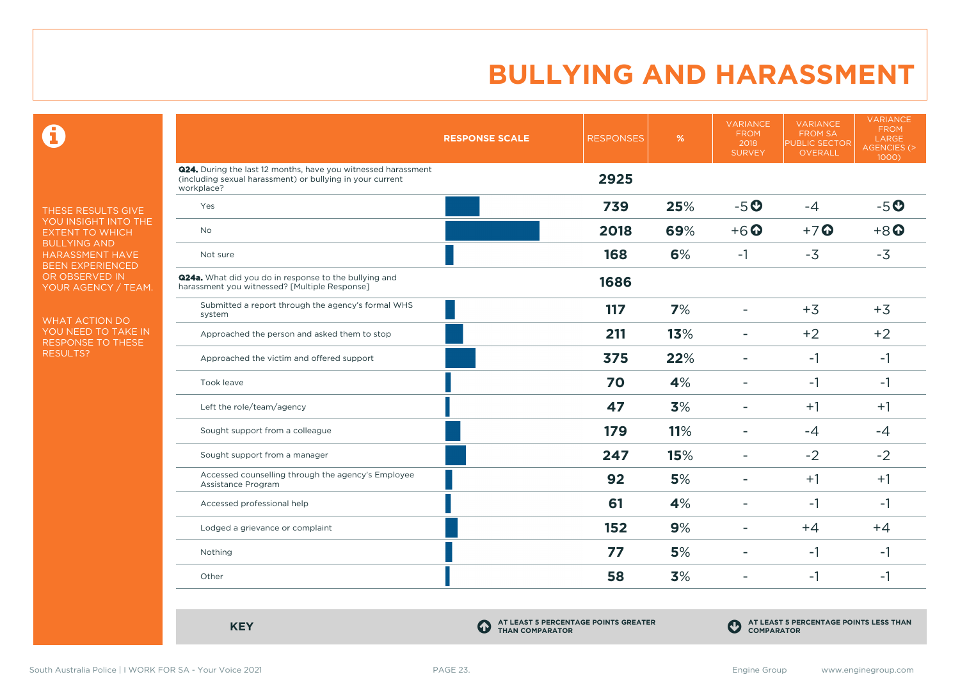$\mathbf \Omega$ 

THESE RESULTS GIVE YOU INSIGHT INTO THE EXTENT TO WHICH BULLYING AND HARASSMENT HAVE BEEN EXPERIENCED OR OBSERVED IN YOUR AGENCY / TEAM.

WHAT ACTION DO YOU NEED TO TAKE IN RESPONSE TO THESE RESULTS?

|                                                                                                                                                 | <b>RESPONSE SCALE</b> | <b>RESPONSES</b> | %   | <b>VARIANCE</b><br><b>FROM</b><br>2018<br><b>SURVEY</b> | <b>VARIANCE</b><br><b>FROM SA</b><br>PUBLIC SECTOR<br><b>OVERALL</b> | <b>VARIANCE</b><br><b>FROM</b><br>LARGE<br><b>AGENCIES (&gt;</b><br>1000) |
|-------------------------------------------------------------------------------------------------------------------------------------------------|-----------------------|------------------|-----|---------------------------------------------------------|----------------------------------------------------------------------|---------------------------------------------------------------------------|
| <b>Q24.</b> During the last 12 months, have you witnessed harassment<br>(including sexual harassment) or bullying in your current<br>workplace? |                       | 2925             |     |                                                         |                                                                      |                                                                           |
| Yes                                                                                                                                             |                       | 739              | 25% | $-5o$                                                   | $-4$                                                                 | $-5o$                                                                     |
| No                                                                                                                                              |                       | 2018             | 69% | $+6$ <sup>O</sup>                                       | $+7$ <sup>O</sup>                                                    | $+8$ <sup>O</sup>                                                         |
| Not sure                                                                                                                                        |                       | 168              | 6%  | $-1$                                                    | $-3$                                                                 | $-3$                                                                      |
| <b>Q24a.</b> What did you do in response to the bullying and<br>harassment you witnessed? [Multiple Response]                                   |                       | 1686             |     |                                                         |                                                                      |                                                                           |
| Submitted a report through the agency's formal WHS<br>system                                                                                    |                       | 117              | 7%  | $\blacksquare$                                          | $+3$                                                                 | $+3$                                                                      |
| Approached the person and asked them to stop                                                                                                    |                       | 211              | 13% | $\equiv$                                                | $+2$                                                                 | $+2$                                                                      |
| Approached the victim and offered support                                                                                                       |                       | 375              | 22% |                                                         | $-1$                                                                 | $-1$                                                                      |
| Took leave                                                                                                                                      |                       | 70               | 4%  | ۰                                                       | $-1$                                                                 | $-1$                                                                      |
| Left the role/team/agency                                                                                                                       |                       | 47               | 3%  | $\blacksquare$                                          | $+1$                                                                 | $+1$                                                                      |
| Sought support from a colleague                                                                                                                 |                       | 179              | 11% | ۳                                                       | $-4$                                                                 | $-4$                                                                      |
| Sought support from a manager                                                                                                                   |                       | 247              | 15% | $\blacksquare$                                          | $-2$                                                                 | $-2$                                                                      |
| Accessed counselling through the agency's Employee<br>Assistance Program                                                                        |                       | 92               | 5%  | $\blacksquare$                                          | $+1$                                                                 | $+1$                                                                      |
| Accessed professional help                                                                                                                      |                       | 61               | 4%  | $\blacksquare$                                          | $-1$                                                                 | -1                                                                        |
| Lodged a grievance or complaint                                                                                                                 |                       | 152              | 9%  |                                                         | $+4$                                                                 | $+4$                                                                      |
| Nothing                                                                                                                                         |                       | 77               | 5%  | $\blacksquare$                                          | $-1$                                                                 | $-1$                                                                      |
| Other                                                                                                                                           |                       | 58               | 3%  | $\blacksquare$                                          | $-1$                                                                 | $-1$                                                                      |

**KEY C** 

**AT LEAST 5 PERCENTAGE POINTS GREATER THAN COMPARATOR**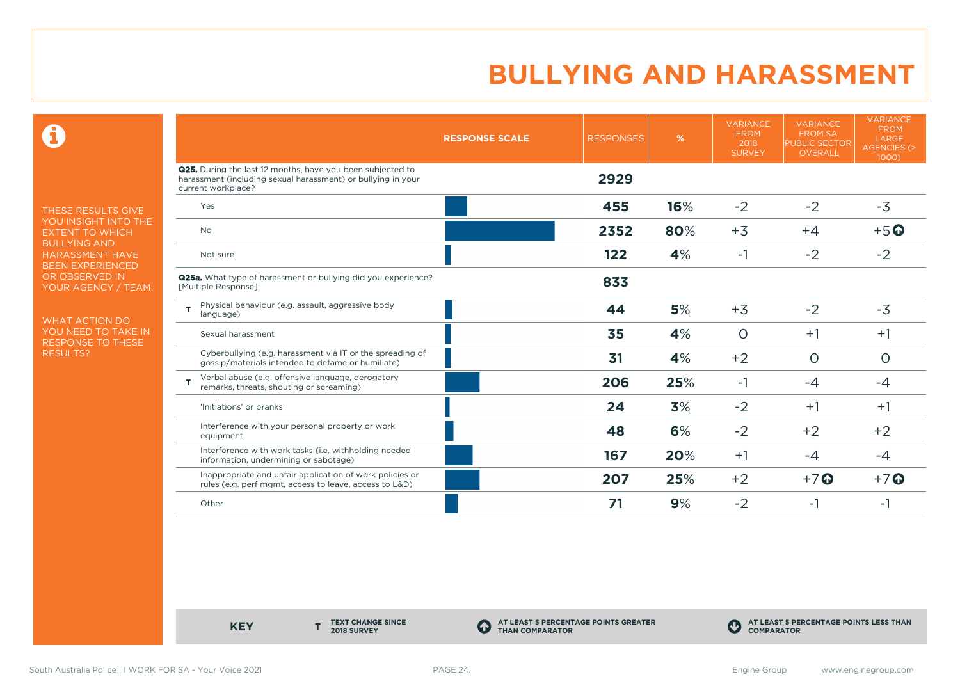$\mathbf \Theta$ 

THESE RESULTS GIVE YOU INSIGHT INTO THE EXTENT TO WHICH BULLYING AND HARASSMENT HAVE BEEN EXPERIENCED OR OBSERVED IN YOUR AGENCY / TEAM.

WHAT ACTION DO YOU NEED TO TAKE IN RESPONSE TO THESE RESULTS?

|                                                                                                                                                         | <b>RESPONSE SCALE</b> | <b>RESPONSES</b> | %   | <b>VARIANCE</b><br><b>FROM</b><br>2018<br><b>SURVEY</b> | <b>VARIANCE</b><br><b>FROM SA</b><br><b>PUBLIC SECTOR</b><br>OVERALL | <b>VARIANCE</b><br><b>FROM</b><br>LARGE<br><b>AGENCIES (&gt;</b><br>1000) |
|---------------------------------------------------------------------------------------------------------------------------------------------------------|-----------------------|------------------|-----|---------------------------------------------------------|----------------------------------------------------------------------|---------------------------------------------------------------------------|
| <b>Q25.</b> During the last 12 months, have you been subjected to<br>harassment (including sexual harassment) or bullying in your<br>current workplace? |                       | 2929             |     |                                                         |                                                                      |                                                                           |
| Yes                                                                                                                                                     |                       | 455              | 16% | $-2$                                                    | $-2$                                                                 | $-3$                                                                      |
| <b>No</b>                                                                                                                                               |                       | 2352             | 80% | $+3$                                                    | $+4$                                                                 | $+5$ <sup>O</sup>                                                         |
| Not sure                                                                                                                                                |                       | 122              | 4%  | $-1$                                                    | $-2$                                                                 | $-2$                                                                      |
| <b>Q25a.</b> What type of harassment or bullying did you experience?<br>[Multiple Response]                                                             |                       | 833              |     |                                                         |                                                                      |                                                                           |
| Physical behaviour (e.g. assault, aggressive body<br>T.<br>language)                                                                                    |                       | 44               | 5%  | $+3$                                                    | $-2$                                                                 | $-3$                                                                      |
| Sexual harassment                                                                                                                                       |                       | 35               | 4%  | $\circ$                                                 | $+1$                                                                 | $+1$                                                                      |
| Cyberbullying (e.g. harassment via IT or the spreading of<br>gossip/materials intended to defame or humiliate)                                          |                       | 31               | 4%  | $+2$                                                    | $\circ$                                                              | $\circ$                                                                   |
| Verbal abuse (e.g. offensive language, derogatory<br>т<br>remarks, threats, shouting or screaming)                                                      |                       | 206              | 25% | $-1$                                                    | $-4$                                                                 | $-4$                                                                      |
| 'Initiations' or pranks                                                                                                                                 |                       | 24               | 3%  | $-2$                                                    | $+1$                                                                 | $+1$                                                                      |
| Interference with your personal property or work<br>equipment                                                                                           |                       | 48               | 6%  | $-2$                                                    | $+2$                                                                 | $+2$                                                                      |
| Interference with work tasks (i.e. withholding needed<br>information, undermining or sabotage)                                                          |                       | 167              | 20% | $+1$                                                    | $-4$                                                                 | $-4$                                                                      |
| Inappropriate and unfair application of work policies or<br>rules (e.g. perf mgmt, access to leave, access to L&D)                                      |                       | 207              | 25% | $+2$                                                    | $+7$ $\odot$                                                         | $+7$ $\odot$                                                              |
| Other                                                                                                                                                   |                       | 71               | 9%  | $-2$                                                    | -1                                                                   | -1                                                                        |

**KEY** 

**TEXT CHANGE SINCE 2018 SURVEY**

**AT LEAST 5 PERCENTAGE POINTS GREATER THAN COMPARATOR**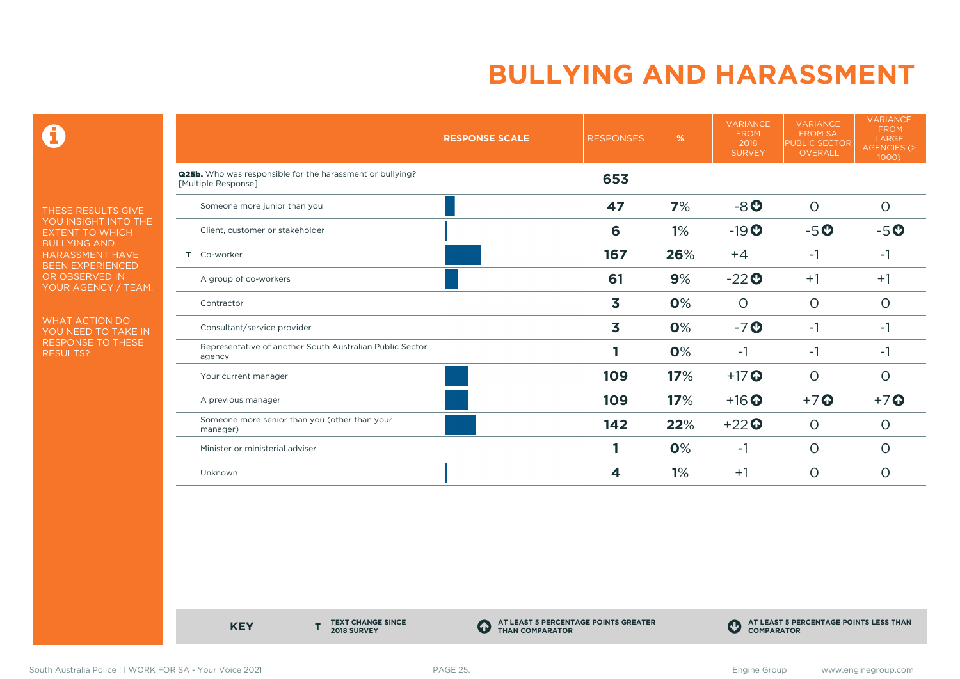$\mathbf \Theta$ 

THESE RESULTS GIVE YOU INSIGHT INTO THE EXTENT TO WHICH BULLYING AND HARASSMENT HAVE BEEN EXPERIENCED OR OBSERVED IN YOUR AGENCY / TEAM.

WHAT ACTION DO YOU NEED TO TAKE IN RESPONSE TO THESE RESULTS?

|                                                                                  | <b>RESPONSE SCALE</b> | <b>RESPONSES</b> | %   | <b>VARIANCE</b><br><b>FROM</b><br>2018<br><b>SURVEY</b> | <b>VARIANCE</b><br><b>FROM SA</b><br><b>PUBLIC SECTOR</b><br><b>OVERALL</b> | <b>VARIANCE</b><br><b>FROM</b><br>LARGE<br><b>AGENCIES (&gt;</b><br>1000) |
|----------------------------------------------------------------------------------|-----------------------|------------------|-----|---------------------------------------------------------|-----------------------------------------------------------------------------|---------------------------------------------------------------------------|
| Q25b. Who was responsible for the harassment or bullying?<br>[Multiple Response] |                       | 653              |     |                                                         |                                                                             |                                                                           |
| Someone more junior than you                                                     |                       | 47               | 7%  | $-8o$                                                   | $\circ$                                                                     | $\Omega$                                                                  |
| Client, customer or stakeholder                                                  |                       | 6                | 1%  | $-19O$                                                  | $-5o$                                                                       | $-5o$                                                                     |
| T Co-worker                                                                      |                       | 167              | 26% | $+4$                                                    | $-1$                                                                        | -1                                                                        |
| A group of co-workers                                                            |                       | 61               | 9%  | $-22o$                                                  | $+1$                                                                        | $+1$                                                                      |
| Contractor                                                                       |                       | 3                | 0%  | $\circ$                                                 | $\circ$                                                                     | $\circ$                                                                   |
| Consultant/service provider                                                      |                       | 3                | 0%  | $-7o$                                                   | $-1$                                                                        | -1                                                                        |
| Representative of another South Australian Public Sector<br>agency               |                       |                  | 0%  | $-1$                                                    | $-1$                                                                        | $-1$                                                                      |
| Your current manager                                                             |                       | 109              | 17% | $+17$ $\odot$                                           | $\circ$                                                                     | $\overline{O}$                                                            |
| A previous manager                                                               |                       | 109              | 17% | $+16$ <sup>O</sup>                                      | $+7$ <sup>O</sup>                                                           | $+7$ $\odot$                                                              |
| Someone more senior than you (other than your<br>manager)                        |                       | 142              | 22% | $+22$                                                   | $\circ$                                                                     | $\Omega$                                                                  |
| Minister or ministerial adviser                                                  |                       |                  | 0%  | $-1$                                                    | $\circ$                                                                     | O                                                                         |
| Unknown                                                                          |                       | 4                | 1%  | $+1$                                                    | $\circ$                                                                     | $\overline{O}$                                                            |

**KEY** 

**TEXT CHANGE SINCE 2018 SURVEY**

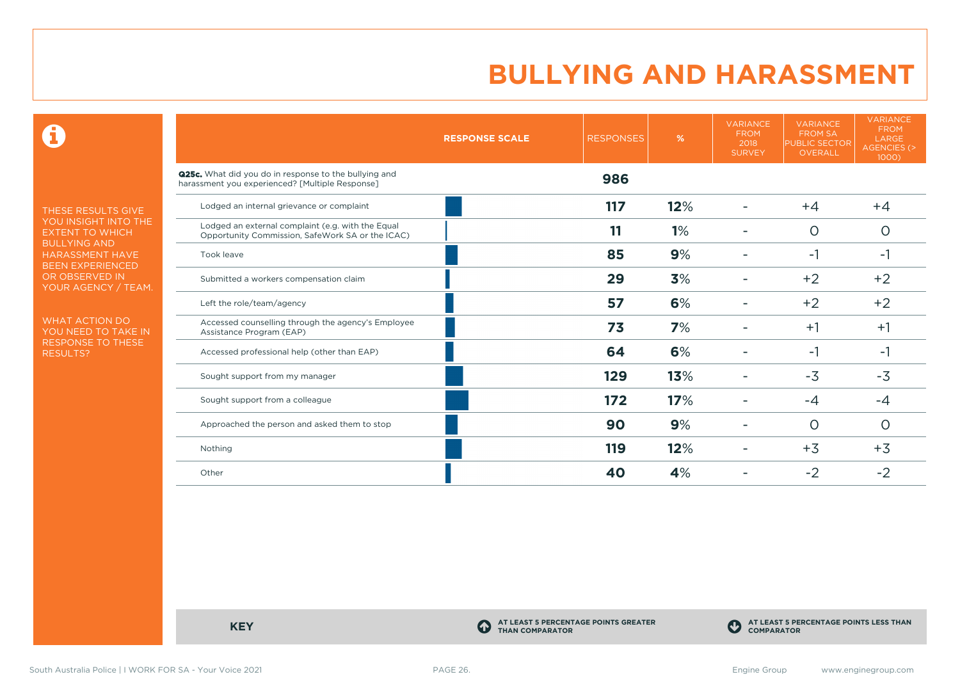$\mathbf \Theta$ 

THESE RESULTS GIVE YOU INSIGHT INTO THE EXTENT TO WHICH BULLYING AND HARASSMENT HAVE BEEN EXPERIENCED OR OBSERVED IN YOUR AGENCY / TEAM.

WHAT ACTION DO YOU NEED TO TAKE IN RESPONSE TO THESE RESULTS?

|                                                                                                                 | <b>RESPONSE SCALE</b> | <b>RESPONSES</b> | %   | <b>VARIANCE</b><br><b>FROM</b><br>2018<br><b>SURVEY</b> | <b>VARIANCE</b><br><b>FROM SA</b><br><b>PUBLIC SECTOR</b><br>OVERALL | <b>VARIANCE</b><br><b>FROM</b><br>LARGE<br>AGENCIES (><br>1000) |
|-----------------------------------------------------------------------------------------------------------------|-----------------------|------------------|-----|---------------------------------------------------------|----------------------------------------------------------------------|-----------------------------------------------------------------|
| <b>Q25c.</b> What did you do in response to the bullying and<br>harassment you experienced? [Multiple Response] |                       | 986              |     |                                                         |                                                                      |                                                                 |
| Lodged an internal grievance or complaint                                                                       |                       | 117              | 12% |                                                         | $+4$                                                                 | $+4$                                                            |
| Lodged an external complaint (e.g. with the Equal<br>Opportunity Commission, SafeWork SA or the ICAC)           |                       | 11               | 1%  |                                                         | $\circ$                                                              | $\circ$                                                         |
| Took leave                                                                                                      |                       | 85               | 9%  |                                                         | -1                                                                   | -1                                                              |
| Submitted a workers compensation claim                                                                          |                       | 29               | 3%  |                                                         | $+2$                                                                 | $+2$                                                            |
| Left the role/team/agency                                                                                       |                       | 57               | 6%  |                                                         | $+2$                                                                 | $+2$                                                            |
| Accessed counselling through the agency's Employee<br>Assistance Program (EAP)                                  |                       | 73               | 7%  |                                                         | $+1$                                                                 | $+1$                                                            |
| Accessed professional help (other than EAP)                                                                     |                       | 64               | 6%  |                                                         | $-1$                                                                 | -1                                                              |
| Sought support from my manager                                                                                  |                       | 129              | 13% |                                                         | $-3$                                                                 | $-3$                                                            |
| Sought support from a colleague                                                                                 |                       | 172              | 17% |                                                         | $-4$                                                                 | $-4$                                                            |
| Approached the person and asked them to stop                                                                    |                       | 90               | 9%  |                                                         | $\circ$                                                              | O                                                               |
| Nothing                                                                                                         |                       | 119              | 12% |                                                         | $+3$                                                                 | $+3$                                                            |
| Other                                                                                                           |                       | 40               | 4%  |                                                         | $-2$                                                                 | $-2$                                                            |

**KEY C** 

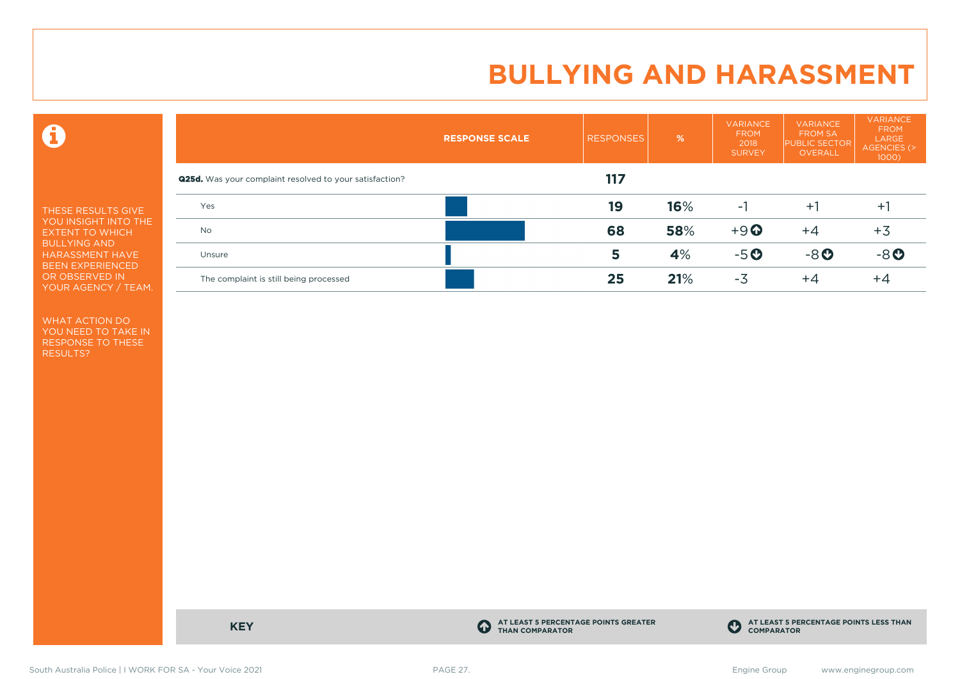$\mathbf \Theta$ 

THESE RESULTS GIVE YOU INSIGHT INTO THE EXTENT TO WHICH BULLYING AND HARASSMENT HAVE BEEN EXPERIENCED OR OBSERVED IN YOUR AGENCY / TEAM.

WHAT ACTION DO YOU NEED TO TAKE IN RESPONSE TO THESE RESULTS?

|                                                                | <b>RESPONSE SCALE</b> | <b>RESPONSES</b> | $\frac{9}{6}$ | <b>VARIANCE</b><br><b>FROM</b><br>2018<br><b>SURVEY</b> | <b>VARIANCE</b><br><b>FROM SA</b><br><b>PUBLIC SECTOR</b><br>OVERALL | <b>VARIANCE</b><br><b>FROM</b><br>LARGE<br>AGENCIES (><br>$1000$ ) |
|----------------------------------------------------------------|-----------------------|------------------|---------------|---------------------------------------------------------|----------------------------------------------------------------------|--------------------------------------------------------------------|
| <b>Q25d.</b> Was your complaint resolved to your satisfaction? |                       | 117              |               |                                                         |                                                                      |                                                                    |
| Yes                                                            |                       | 19               | 16%           | -1                                                      | $+1$                                                                 | $+1$                                                               |
| <b>No</b>                                                      |                       | 68               | 58%           | $+9$ <sup><math>\odot</math></sup>                      | $+4$                                                                 | $+3$                                                               |
| Unsure                                                         |                       | 5                | 4%            | $-5o$                                                   | $-8o$                                                                | $-8o$                                                              |
| The complaint is still being processed                         |                       | 25               | 21%           | $-3$                                                    | $+4$                                                                 | +4                                                                 |

**KEY C** 

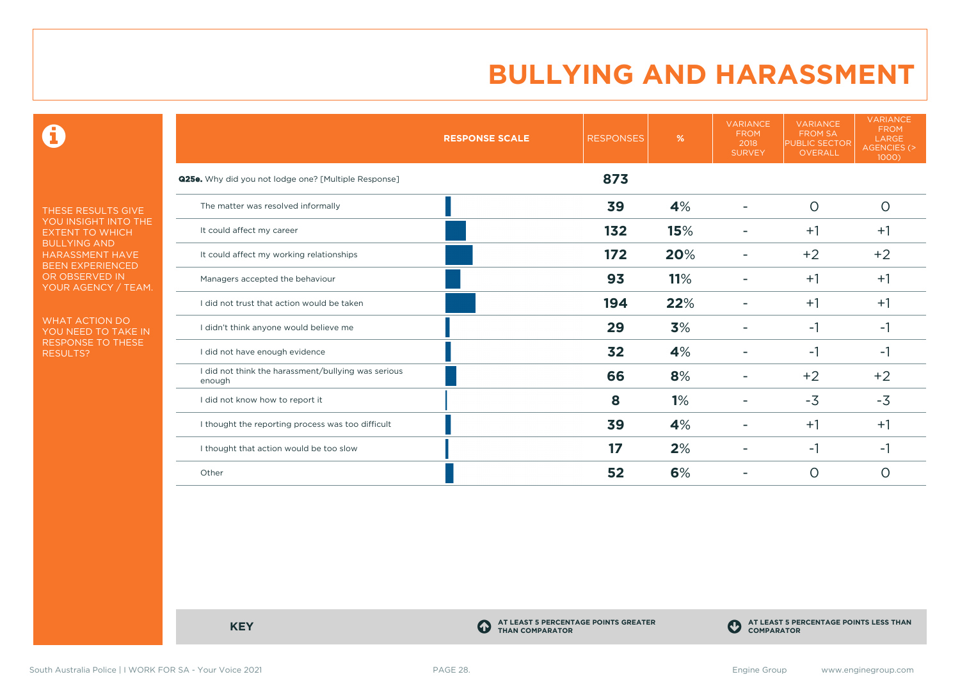$\mathbf \Theta$ 

THESE RESULTS GIVE YOU INSIGHT INTO THE EXTENT TO WHICH BULLYING AND HARASSMENT HAVE BEEN EXPERIENCED OR OBSERVED IN YOUR AGENCY / TEAM.

WHAT ACTION DO YOU NEED TO TAKE IN RESPONSE TO THESE RESULTS?

|                                                               | <b>RESPONSE SCALE</b> | <b>RESPONSES</b> | %   | <b>VARIANCE</b><br><b>FROM</b><br>2018<br><b>SURVEY</b> | <b>VARIANCE</b><br><b>FROM SA</b><br><b>PUBLIC SECTOR</b><br><b>OVERALL</b> | <b>VARIANCE</b><br><b>FROM</b><br>LARGE<br>AGENCIES (><br>1000) |
|---------------------------------------------------------------|-----------------------|------------------|-----|---------------------------------------------------------|-----------------------------------------------------------------------------|-----------------------------------------------------------------|
| <b>Q25e.</b> Why did you not lodge one? [Multiple Response]   |                       | 873              |     |                                                         |                                                                             |                                                                 |
| The matter was resolved informally                            |                       | 39               | 4%  | ۰                                                       | $\circ$                                                                     | $\circ$                                                         |
| It could affect my career                                     |                       | 132              | 15% |                                                         | $+1$                                                                        | $+1$                                                            |
| It could affect my working relationships                      |                       | 172              | 20% |                                                         | $+2$                                                                        | $+2$                                                            |
| Managers accepted the behaviour                               |                       | 93               | 11% |                                                         | $+1$                                                                        | $+1$                                                            |
| I did not trust that action would be taken                    |                       | 194              | 22% |                                                         | $+1$                                                                        | $+1$                                                            |
| I didn't think anyone would believe me                        |                       | 29               | 3%  |                                                         | -1                                                                          | -1                                                              |
| I did not have enough evidence                                |                       | 32               | 4%  |                                                         | $-1$                                                                        | -1                                                              |
| I did not think the harassment/bullying was serious<br>enough |                       | 66               | 8%  |                                                         | $+2$                                                                        | $+2$                                                            |
| I did not know how to report it                               |                       | 8                | 1%  |                                                         | $-3$                                                                        | $-3$                                                            |
| I thought the reporting process was too difficult             |                       | 39               | 4%  |                                                         | $+1$                                                                        | $+1$                                                            |
| I thought that action would be too slow                       |                       | 17               | 2%  |                                                         | -1                                                                          | -1                                                              |
| Other                                                         |                       | 52               | 6%  |                                                         | $\circ$                                                                     | 0                                                               |

**KEY C** 

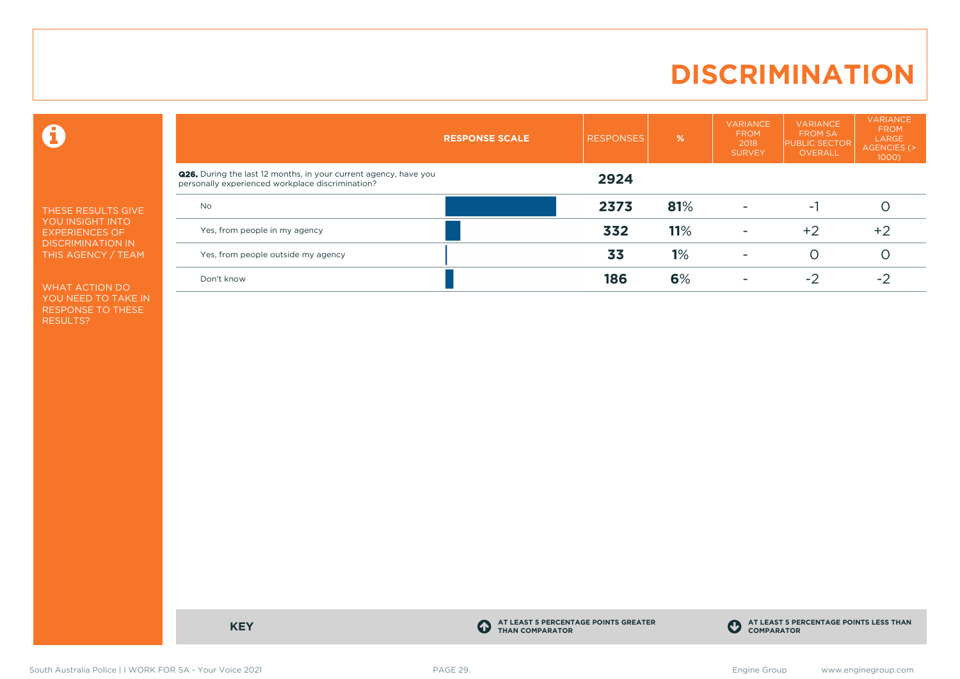### **DISCRIMINATION**

 $\mathbf \Theta$ 

THESE RESULTS GIVE YOU INSIGHT INTO EXPERIENCES OF DISCRIMINATION IN THIS AGENCY / TEAM

WHAT ACTION DO YOU NEED TO TAKE IN RESPONSE TO THESE RESULTS?

|                                                                                                                             | <b>RESPONSE SCALE</b> | <b>RESPONSES</b> | $\frac{9}{6}$ | <b>VARIANCE</b><br><b>FROM</b><br>2018<br><b>SURVEY</b> | <b>VARIANCE</b><br><b>FROM SA</b><br><b>PUBLIC SECTOR</b><br><b>OVERALL</b> | <b>VARIANCE</b><br><b>FROM</b><br>LARGE<br>AGENCIES (><br>$1000$ ) |
|-----------------------------------------------------------------------------------------------------------------------------|-----------------------|------------------|---------------|---------------------------------------------------------|-----------------------------------------------------------------------------|--------------------------------------------------------------------|
| <b>Q26.</b> During the last 12 months, in your current agency, have you<br>personally experienced workplace discrimination? |                       | 2924             |               |                                                         |                                                                             |                                                                    |
| <b>No</b>                                                                                                                   |                       | 2373             | 81%           |                                                         | - 1                                                                         |                                                                    |
| Yes, from people in my agency                                                                                               |                       | 332              | 11%           | $\overline{\phantom{a}}$                                | $+2$                                                                        | $+2$                                                               |
| Yes, from people outside my agency                                                                                          |                       | 33               | 1%            |                                                         | ( )                                                                         |                                                                    |
| Don't know                                                                                                                  |                       | 186              | 6%            |                                                         | $-2$                                                                        | $-2$                                                               |

**KEY C** 

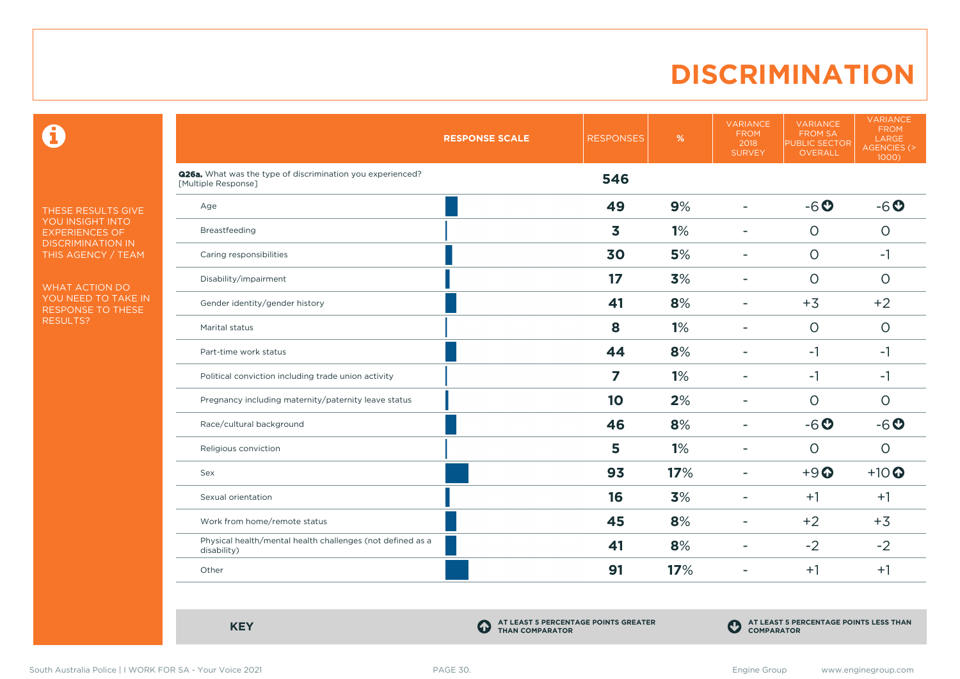### **DISCRIMINATION**

 $\mathbf \Theta$ 

THESE RESULTS GIVE YOU INSIGHT INTO EXPERIENCES OF DISCRIMINATION IN THIS AGENCY / TEAM

WHAT ACTION DO YOU NEED TO TAKE IN RESPONSE TO THESE RESULTS?

|                                                                                   | <b>RESPONSE SCALE</b> | <b>RESPONSES</b> | $\%$ | <b>VARIANCE</b><br><b>FROM</b><br>2018<br><b>SURVEY</b> | <b>VARIANCE</b><br><b>FROM SA</b><br><b>PUBLIC SECTOR</b><br>OVERALL | <b>VARIANCE</b><br><b>FROM</b><br>LARGE<br><b>AGENCIES (&gt;</b><br>1000) |
|-----------------------------------------------------------------------------------|-----------------------|------------------|------|---------------------------------------------------------|----------------------------------------------------------------------|---------------------------------------------------------------------------|
| Q26a. What was the type of discrimination you experienced?<br>[Multiple Response] |                       | 546              |      |                                                         |                                                                      |                                                                           |
| Age                                                                               |                       | 49               | 9%   | $\overline{\phantom{a}}$                                | $-6o$                                                                | $-6o$                                                                     |
| Breastfeeding                                                                     |                       | 3                | 1%   | ۰                                                       | $\circ$                                                              | $\circ$                                                                   |
| Caring responsibilities                                                           |                       | 30               | 5%   | ۰                                                       | $\circ$                                                              | $-1$                                                                      |
| Disability/impairment                                                             |                       | 17               | 3%   | $\blacksquare$                                          | $\circ$                                                              | $\circ$                                                                   |
| Gender identity/gender history                                                    |                       | 41               | 8%   | $\equiv$                                                | $+3$                                                                 | $+2$                                                                      |
| Marital status                                                                    |                       | 8                | 1%   | ۰                                                       | $\circ$                                                              | $\circ$                                                                   |
| Part-time work status                                                             |                       | 44               | 8%   | $\blacksquare$                                          | $-1$                                                                 | $-1$                                                                      |
| Political conviction including trade union activity                               |                       | 7                | 1%   | $\overline{\phantom{a}}$                                | $-1$                                                                 | $-1$                                                                      |
| Pregnancy including maternity/paternity leave status                              |                       | 10               | 2%   | ۳                                                       | $\Omega$                                                             | $\circ$                                                                   |
| Race/cultural background                                                          |                       | 46               | 8%   | $\blacksquare$                                          | $-6o$                                                                | $-6o$                                                                     |
| Religious conviction                                                              |                       | 5                | 1%   | ۰                                                       | $\circ$                                                              | $\circ$                                                                   |
| Sex                                                                               |                       | 93               | 17%  | ۰                                                       | $+9$ <sup><math>\odot</math></sup>                                   | $+10$                                                                     |
| Sexual orientation                                                                |                       | 16               | 3%   | ۰                                                       | $+1$                                                                 | $+1$                                                                      |
| Work from home/remote status                                                      |                       | 45               | 8%   | $\blacksquare$                                          | $+2$                                                                 | $+3$                                                                      |
| Physical health/mental health challenges (not defined as a<br>disability)         |                       | 41               | 8%   | ۰                                                       | $-2$                                                                 | $-2$                                                                      |
| Other                                                                             |                       | 91               | 17%  | $\blacksquare$                                          | $+1$                                                                 | $+1$                                                                      |

**KEY C** 

**AT LEAST 5 PERCENTAGE POINTS GREATER THAN COMPARATOR**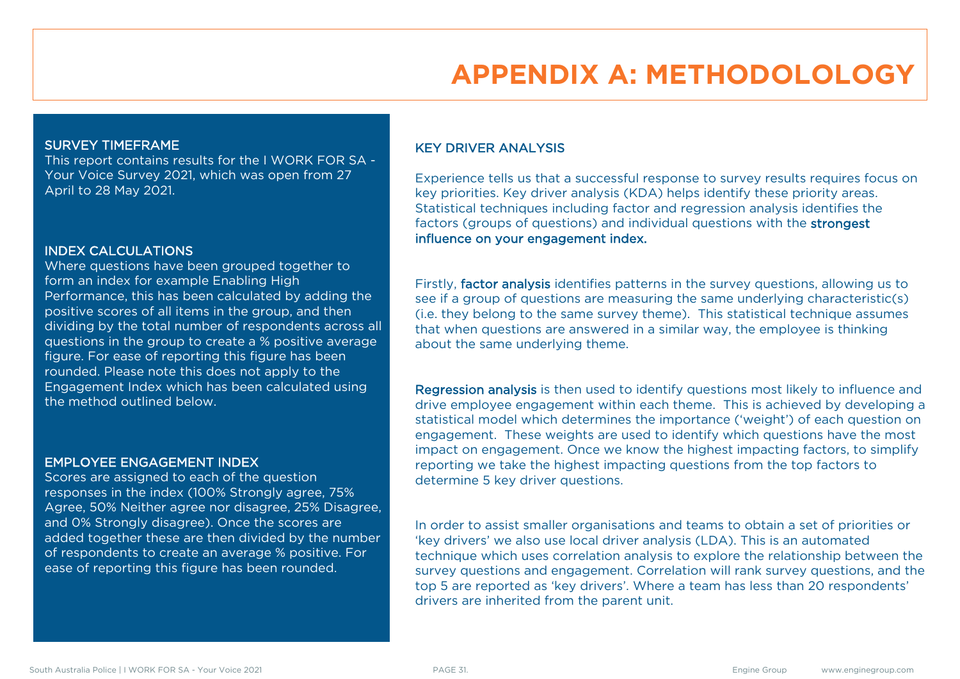### **APPENDIX A: METHODOLOLOGY**

#### SURVEY TIMEFRAME

This report contains results for the I WORK FOR SA - Your Voice Survey 2021, which was open from 27 April to 28 May 2021.

#### INDEX CALCULATIONS

Where questions have been grouped together to form an index for example Enabling High Performance, this has been calculated by adding the positive scores of all items in the group, and then dividing by the total number of respondents across all questions in the group to create a % positive average figure. For ease of reporting this figure has been rounded. Please note this does not apply to the Engagement Index which has been calculated using the method outlined below.

#### EMPLOYEE ENGAGEMENT INDEX

Scores are assigned to each of the question responses in the index (100% Strongly agree, 75% Agree, 50% Neither agree nor disagree, 25% Disagree, and 0% Strongly disagree). Once the scores are added together these are then divided by the number of respondents to create an average % positive. For ease of reporting this figure has been rounded.

#### KEY DRIVER ANALYSIS

Experience tells us that a successful response to survey results requires focus on key priorities. Key driver analysis (KDA) helps identify these priority areas. Statistical techniques including factor and regression analysis identifies the factors (groups of questions) and individual questions with the strongest influence on your engagement index.

Firstly, factor analysis identifies patterns in the survey questions, allowing us to see if a group of questions are measuring the same underlying characteristic(s) (i.e. they belong to the same survey theme). This statistical technique assumes that when questions are answered in a similar way, the employee is thinking about the same underlying theme.

Regression analysis is then used to identify questions most likely to influence and drive employee engagement within each theme. This is achieved by developing a statistical model which determines the importance ('weight') of each question on engagement. These weights are used to identify which questions have the most impact on engagement. Once we know the highest impacting factors, to simplify reporting we take the highest impacting questions from the top factors to determine 5 key driver questions.

In order to assist smaller organisations and teams to obtain a set of priorities or 'key drivers' we also use local driver analysis (LDA). This is an automated technique which uses correlation analysis to explore the relationship between the survey questions and engagement. Correlation will rank survey questions, and the top 5 are reported as 'key drivers'. Where a team has less than 20 respondents' drivers are inherited from the parent unit.